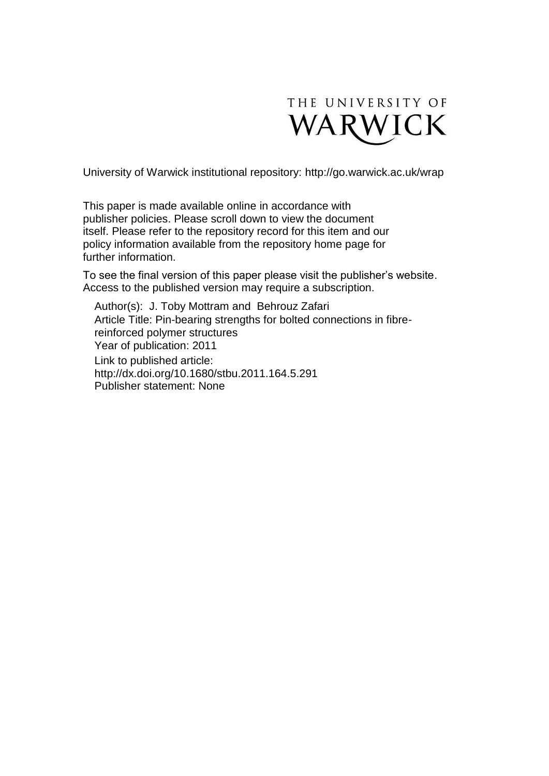

University of Warwick institutional repository:<http://go.warwick.ac.uk/wrap>

This paper is made available online in accordance with publisher policies. Please scroll down to view the document itself. Please refer to the repository record for this item and our policy information available from the repository home page for further information.

To see the final version of this paper please visit the publisher's website. Access to the published version may require a subscription.

Author(s): J. Toby Mottram and Behrouz Zafari Article Title: Pin-bearing strengths for bolted connections in fibrereinforced polymer structures Year of publication: 2011 Link to published article: http://dx.doi.org/10.1680/stbu.2011.164.5.291 Publisher statement: None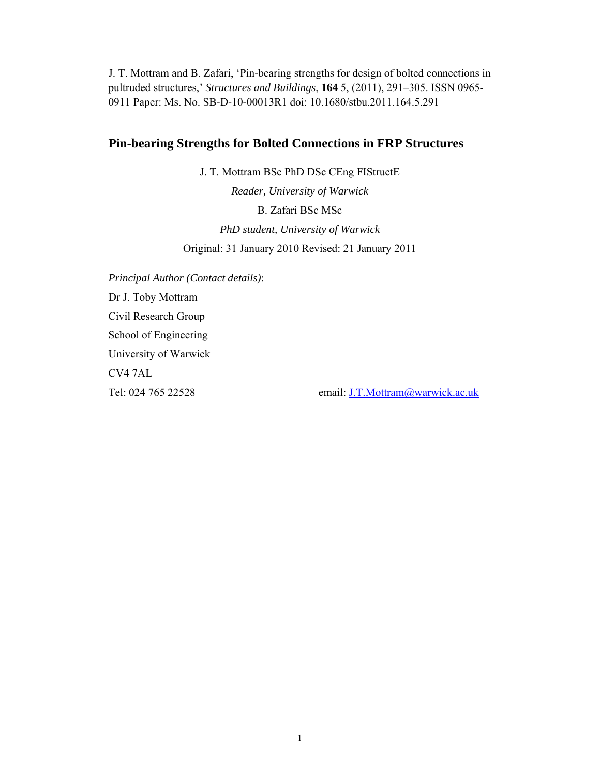J. T. Mottram and B. Zafari, 'Pin-bearing strengths for design of bolted connections in pultruded structures,' *Structures and Buildings*, **164** 5, (2011), 291–305. ISSN 0965- 0911 Paper: Ms. No. SB-D-10-00013R1 doi: 10.1680/stbu.2011.164.5.291

# **Pin-bearing Strengths for Bolted Connections in FRP Structures**

J. T. Mottram BSc PhD DSc CEng FIStructE *Reader, University of Warwick*  B. Zafari BSc MSc *PhD student, University of Warwick*  Original: 31 January 2010 Revised: 21 January 2011

*Principal Author (Contact details)*: Dr J. Toby Mottram Civil Research Group School of Engineering University of Warwick CV4 7AL

Tel: 024 765 22528 email: J.T.Mottram@warwick.ac.uk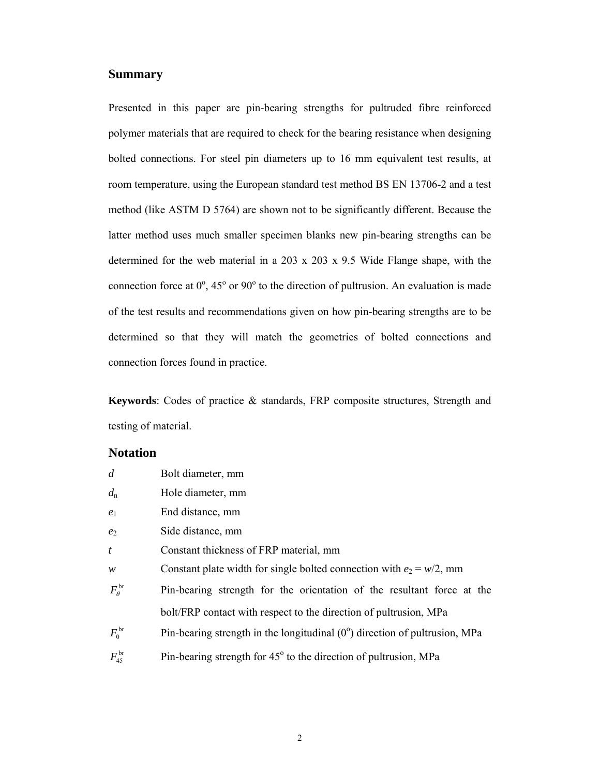### **Summary**

Presented in this paper are pin-bearing strengths for pultruded fibre reinforced polymer materials that are required to check for the bearing resistance when designing bolted connections. For steel pin diameters up to 16 mm equivalent test results, at room temperature, using the European standard test method BS EN 13706-2 and a test method (like ASTM D 5764) are shown not to be significantly different. Because the latter method uses much smaller specimen blanks new pin-bearing strengths can be determined for the web material in a 203 x 203 x 9.5 Wide Flange shape, with the connection force at  $0^{\circ}$ , 45° or 90° to the direction of pultrusion. An evaluation is made of the test results and recommendations given on how pin-bearing strengths are to be determined so that they will match the geometries of bolted connections and connection forces found in practice.

**Keywords**: Codes of practice & standards, FRP composite structures, Strength and testing of material.

# **Notation**

| $\overline{d}$           | Bolt diameter, mm                                                                   |
|--------------------------|-------------------------------------------------------------------------------------|
| $d_{\rm n}$              | Hole diameter, mm                                                                   |
| $e_1$                    | End distance, mm                                                                    |
| e <sub>2</sub>           | Side distance, mm                                                                   |
| t                        | Constant thickness of FRP material, mm                                              |
| w                        | Constant plate width for single bolted connection with $e_2 = w/2$ , mm             |
| $F^{\text{br}}_{\theta}$ | Pin-bearing strength for the orientation of the resultant force at the              |
|                          | bolt/FRP contact with respect to the direction of pultrusion, MPa                   |
| $F_0^{\text{br}}$        | Pin-bearing strength in the longitudinal $(0^{\circ})$ direction of pultrusion, MPa |
| $F_{45}^{\rm br}$        | Pin-bearing strength for $45^{\circ}$ to the direction of pultrusion, MPa           |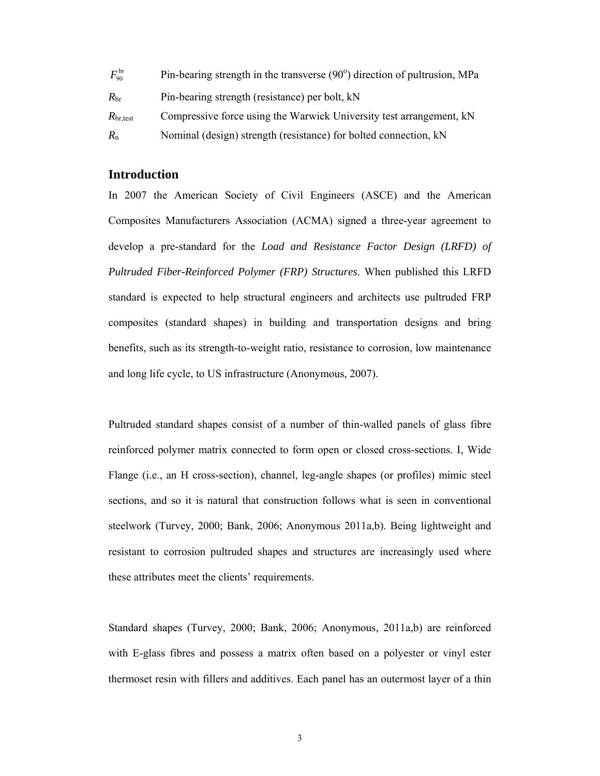| $F_{90}^{\rm br}$    | Pin-bearing strength in the transverse $(90^{\circ})$ direction of pultrusion, MPa |
|----------------------|------------------------------------------------------------------------------------|
| $R_{\rm br}$         | Pin-bearing strength (resistance) per bolt, kN                                     |
| $R_{\text{br,test}}$ | Compressive force using the Warwick University test arrangement, kN                |
| $R_{n}$              | Nominal (design) strength (resistance) for bolted connection, kN                   |

## **Introduction**

In 2007 the American Society of Civil Engineers (ASCE) and the American Composites Manufacturers Association (ACMA) signed a three-year agreement to develop a pre-standard for the *Load and Resistance Factor Design (LRFD) of Pultruded Fiber-Reinforced Polymer (FRP) Structures*. When published this LRFD standard is expected to help structural engineers and architects use pultruded FRP composites (standard shapes) in building and transportation designs and bring benefits, such as its strength-to-weight ratio, resistance to corrosion, low maintenance and long life cycle, to US infrastructure (Anonymous, 2007).

Pultruded standard shapes consist of a number of thin-walled panels of glass fibre reinforced polymer matrix connected to form open or closed cross-sections. I, Wide Flange (i.e., an H cross-section), channel, leg-angle shapes (or profiles) mimic steel sections, and so it is natural that construction follows what is seen in conventional steelwork (Turvey, 2000; Bank, 2006; Anonymous 2011a,b). Being lightweight and resistant to corrosion pultruded shapes and structures are increasingly used where these attributes meet the clients' requirements.

Standard shapes (Turvey, 2000; Bank, 2006; Anonymous, 2011a,b) are reinforced with E-glass fibres and possess a matrix often based on a polyester or vinyl ester thermoset resin with fillers and additives. Each panel has an outermost layer of a thin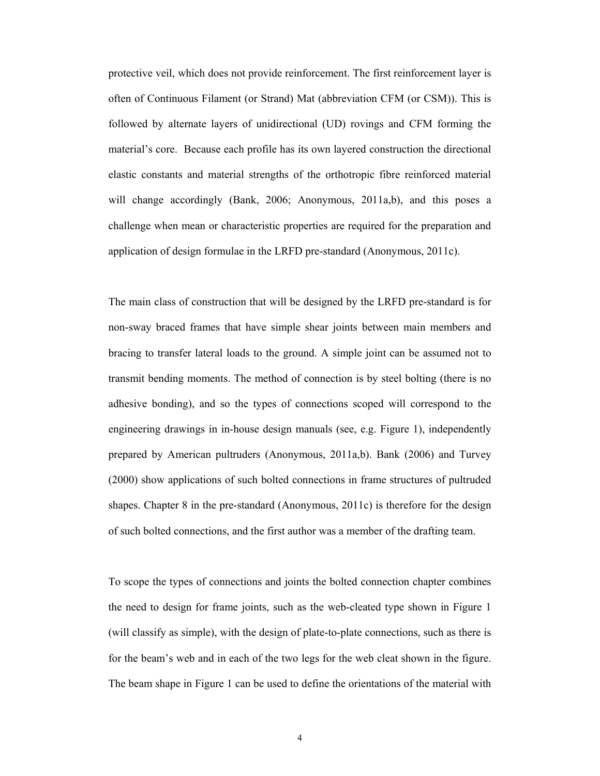protective veil, which does not provide reinforcement. The first reinforcement layer is often of Continuous Filament (or Strand) Mat (abbreviation CFM (or CSM)). This is followed by alternate layers of unidirectional (UD) rovings and CFM forming the material's core. Because each profile has its own layered construction the directional elastic constants and material strengths of the orthotropic fibre reinforced material will change accordingly (Bank, 2006; Anonymous, 2011a,b), and this poses a challenge when mean or characteristic properties are required for the preparation and application of design formulae in the LRFD pre-standard (Anonymous, 2011c).

The main class of construction that will be designed by the LRFD pre-standard is for non-sway braced frames that have simple shear joints between main members and bracing to transfer lateral loads to the ground. A simple joint can be assumed not to transmit bending moments. The method of connection is by steel bolting (there is no adhesive bonding), and so the types of connections scoped will correspond to the engineering drawings in in-house design manuals (see, e.g. Figure 1), independently prepared by American pultruders (Anonymous, 2011a,b). Bank (2006) and Turvey (2000) show applications of such bolted connections in frame structures of pultruded shapes. Chapter 8 in the pre-standard (Anonymous, 2011c) is therefore for the design of such bolted connections, and the first author was a member of the drafting team.

To scope the types of connections and joints the bolted connection chapter combines the need to design for frame joints, such as the web-cleated type shown in Figure 1 (will classify as simple), with the design of plate-to-plate connections, such as there is for the beam's web and in each of the two legs for the web cleat shown in the figure. The beam shape in Figure 1 can be used to define the orientations of the material with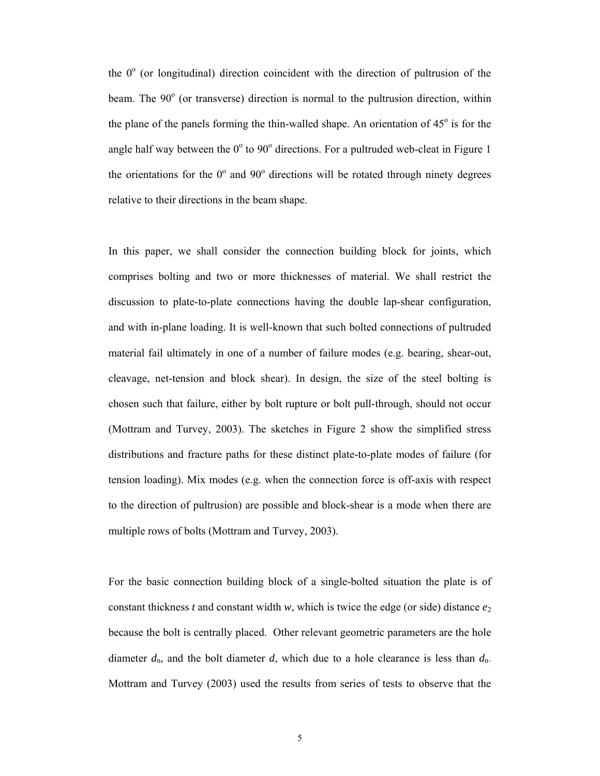the  $0^{\circ}$  (or longitudinal) direction coincident with the direction of pultrusion of the beam. The  $90^\circ$  (or transverse) direction is normal to the pultrusion direction, within the plane of the panels forming the thin-walled shape. An orientation of  $45^\circ$  is for the angle half way between the  $0^{\circ}$  to  $90^{\circ}$  directions. For a pultruded web-cleat in Figure 1 the orientations for the  $0^{\circ}$  and  $90^{\circ}$  directions will be rotated through ninety degrees relative to their directions in the beam shape.

In this paper, we shall consider the connection building block for joints, which comprises bolting and two or more thicknesses of material. We shall restrict the discussion to plate-to-plate connections having the double lap-shear configuration, and with in-plane loading. It is well-known that such bolted connections of pultruded material fail ultimately in one of a number of failure modes (e.g. bearing, shear-out, cleavage, net-tension and block shear). In design, the size of the steel bolting is chosen such that failure, either by bolt rupture or bolt pull-through, should not occur (Mottram and Turvey, 2003). The sketches in Figure 2 show the simplified stress distributions and fracture paths for these distinct plate-to-plate modes of failure (for tension loading). Mix modes (e.g. when the connection force is off-axis with respect to the direction of pultrusion) are possible and block-shear is a mode when there are multiple rows of bolts (Mottram and Turvey, 2003).

For the basic connection building block of a single-bolted situation the plate is of constant thickness *t* and constant width *w*, which is twice the edge (or side) distance  $e_2$ because the bolt is centrally placed. Other relevant geometric parameters are the hole diameter  $d_n$ , and the bolt diameter  $d$ , which due to a hole clearance is less than  $d_n$ . Mottram and Turvey (2003) used the results from series of tests to observe that the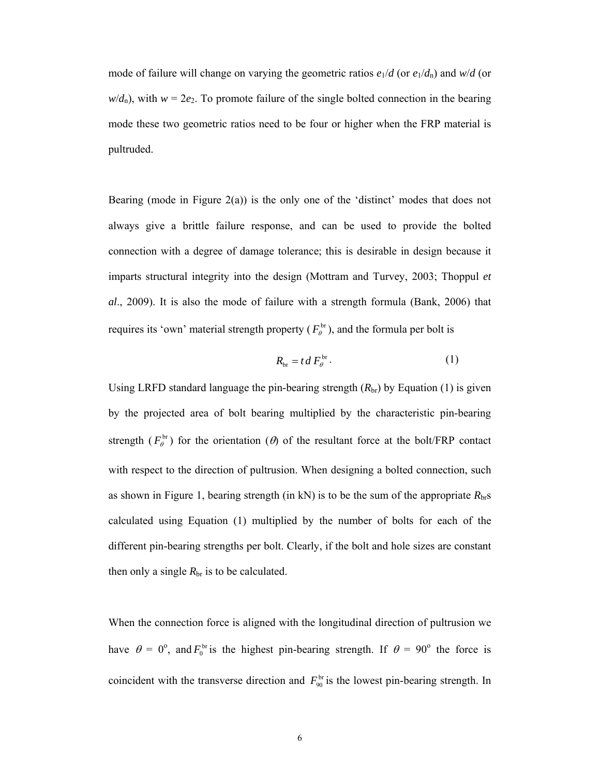mode of failure will change on varying the geometric ratios  $e_1/d$  (or  $e_1/d_n$ ) and  $w/d$  (or  $w/d<sub>n</sub>$ ), with  $w = 2e<sub>2</sub>$ . To promote failure of the single bolted connection in the bearing mode these two geometric ratios need to be four or higher when the FRP material is pultruded.

Bearing (mode in Figure  $2(a)$ ) is the only one of the 'distinct' modes that does not always give a brittle failure response, and can be used to provide the bolted connection with a degree of damage tolerance; this is desirable in design because it imparts structural integrity into the design (Mottram and Turvey, 2003; Thoppul *et al*., 2009). It is also the mode of failure with a strength formula (Bank, 2006) that requires its 'own' material strength property ( $F_{\theta}^{br}$ ), and the formula per bolt is

$$
R_{\rm br} = t d F_{\theta}^{\rm br} \,. \tag{1}
$$

Using LRFD standard language the pin-bearing strength (*R*br) by Equation (1) is given by the projected area of bolt bearing multiplied by the characteristic pin-bearing strength ( $F_\theta^{\text{br}}$ ) for the orientation ( $\theta$ ) of the resultant force at the bolt/FRP contact with respect to the direction of pultrusion. When designing a bolted connection, such as shown in Figure 1, bearing strength (in kN) is to be the sum of the appropriate  $R_{\text{br}}$ s calculated using Equation (1) multiplied by the number of bolts for each of the different pin-bearing strengths per bolt. Clearly, if the bolt and hole sizes are constant then only a single  $R<sub>br</sub>$  is to be calculated.

When the connection force is aligned with the longitudinal direction of pultrusion we have  $\theta = 0^{\circ}$ , and  $F_0^{\text{br}}$  is the highest pin-bearing strength. If  $\theta = 90^{\circ}$  the force is coincident with the transverse direction and  $F_{90}^{br}$  is the lowest pin-bearing strength. In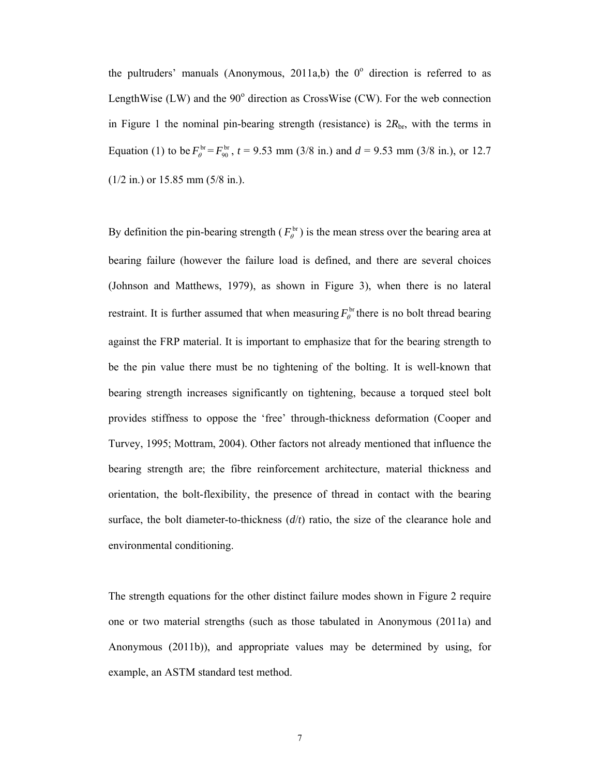the pultruders' manuals (Anonymous, 2011a,b) the  $0^{\circ}$  direction is referred to as LengthWise (LW) and the  $90^{\circ}$  direction as CrossWise (CW). For the web connection in Figure 1 the nominal pin-bearing strength (resistance) is  $2R_{\text{br}}$ , with the terms in Equation (1) to be  $F_{\theta}^{br} = F_{90}^{br}$ ,  $t = 9.53$  mm (3/8 in.) and  $d = 9.53$  mm (3/8 in.), or 12.7 (1/2 in.) or 15.85 mm (5/8 in.).

By definition the pin-bearing strength ( $F_\theta^{\text{br}}$ ) is the mean stress over the bearing area at bearing failure (however the failure load is defined, and there are several choices (Johnson and Matthews, 1979), as shown in Figure 3), when there is no lateral restraint. It is further assumed that when measuring  $F_{\theta}^{\text{br}}$  there is no bolt thread bearing against the FRP material. It is important to emphasize that for the bearing strength to be the pin value there must be no tightening of the bolting. It is well-known that bearing strength increases significantly on tightening, because a torqued steel bolt provides stiffness to oppose the 'free' through-thickness deformation (Cooper and Turvey, 1995; Mottram, 2004). Other factors not already mentioned that influence the bearing strength are; the fibre reinforcement architecture, material thickness and orientation, the bolt-flexibility, the presence of thread in contact with the bearing surface, the bolt diameter-to-thickness  $(d/t)$  ratio, the size of the clearance hole and environmental conditioning.

The strength equations for the other distinct failure modes shown in Figure 2 require one or two material strengths (such as those tabulated in Anonymous (2011a) and Anonymous (2011b)), and appropriate values may be determined by using, for example, an ASTM standard test method.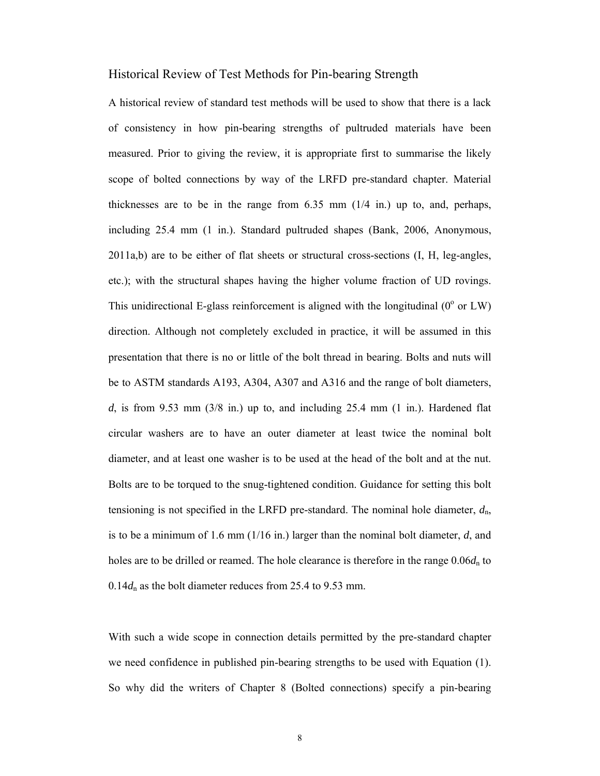#### Historical Review of Test Methods for Pin-bearing Strength

A historical review of standard test methods will be used to show that there is a lack of consistency in how pin-bearing strengths of pultruded materials have been measured. Prior to giving the review, it is appropriate first to summarise the likely scope of bolted connections by way of the LRFD pre-standard chapter. Material thicknesses are to be in the range from 6.35 mm (1/4 in.) up to, and, perhaps, including 25.4 mm (1 in.). Standard pultruded shapes (Bank, 2006, Anonymous, 2011a,b) are to be either of flat sheets or structural cross-sections (I, H, leg-angles, etc.); with the structural shapes having the higher volume fraction of UD rovings. This unidirectional E-glass reinforcement is aligned with the longitudinal  $(0^{\circ}$  or LW) direction. Although not completely excluded in practice, it will be assumed in this presentation that there is no or little of the bolt thread in bearing. Bolts and nuts will be to ASTM standards A193, A304, A307 and A316 and the range of bolt diameters,  $d$ , is from 9.53 mm  $(3/8 \text{ in.})$  up to, and including 25.4 mm  $(1 \text{ in.})$ . Hardened flat circular washers are to have an outer diameter at least twice the nominal bolt diameter, and at least one washer is to be used at the head of the bolt and at the nut. Bolts are to be torqued to the snug-tightened condition. Guidance for setting this bolt tensioning is not specified in the LRFD pre-standard. The nominal hole diameter, *d*n, is to be a minimum of 1.6 mm (1/16 in.) larger than the nominal bolt diameter, *d*, and holes are to be drilled or reamed. The hole clearance is therefore in the range  $0.06d<sub>n</sub>$  to 0.14*d*n as the bolt diameter reduces from 25.4 to 9.53 mm.

With such a wide scope in connection details permitted by the pre-standard chapter we need confidence in published pin-bearing strengths to be used with Equation (1). So why did the writers of Chapter 8 (Bolted connections) specify a pin-bearing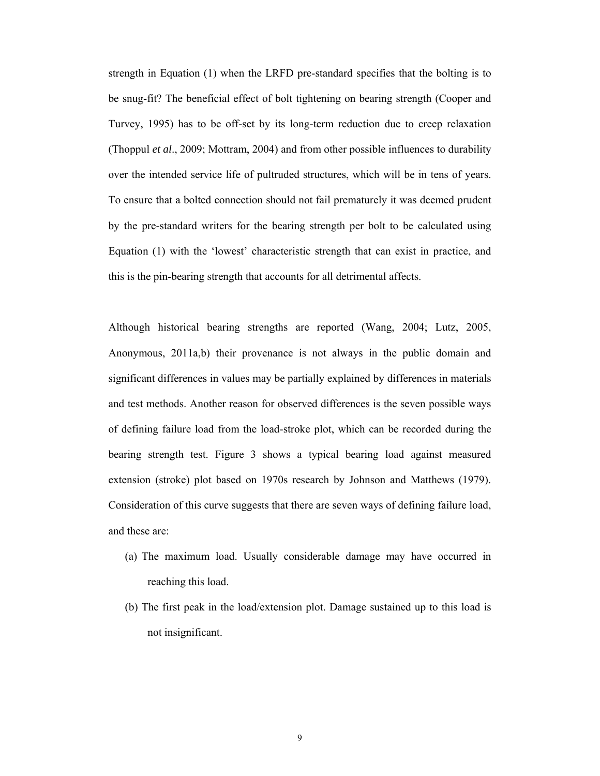strength in Equation (1) when the LRFD pre-standard specifies that the bolting is to be snug-fit? The beneficial effect of bolt tightening on bearing strength (Cooper and Turvey, 1995) has to be off-set by its long-term reduction due to creep relaxation (Thoppul *et al*., 2009; Mottram, 2004) and from other possible influences to durability over the intended service life of pultruded structures, which will be in tens of years. To ensure that a bolted connection should not fail prematurely it was deemed prudent by the pre-standard writers for the bearing strength per bolt to be calculated using Equation (1) with the 'lowest' characteristic strength that can exist in practice, and this is the pin-bearing strength that accounts for all detrimental affects.

Although historical bearing strengths are reported (Wang, 2004; Lutz, 2005, Anonymous, 2011a,b) their provenance is not always in the public domain and significant differences in values may be partially explained by differences in materials and test methods. Another reason for observed differences is the seven possible ways of defining failure load from the load-stroke plot, which can be recorded during the bearing strength test. Figure 3 shows a typical bearing load against measured extension (stroke) plot based on 1970s research by Johnson and Matthews (1979). Consideration of this curve suggests that there are seven ways of defining failure load, and these are:

- (a) The maximum load. Usually considerable damage may have occurred in reaching this load.
- (b) The first peak in the load/extension plot. Damage sustained up to this load is not insignificant.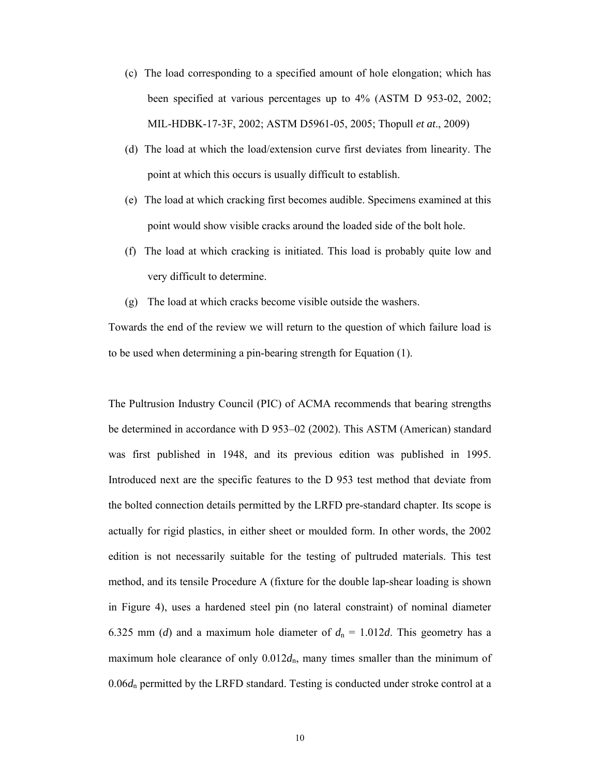- (c) The load corresponding to a specified amount of hole elongation; which has been specified at various percentages up to 4% (ASTM D 953-02, 2002; MIL-HDBK-17-3F, 2002; ASTM D5961-05, 2005; Thopull *et at*., 2009)
- (d) The load at which the load/extension curve first deviates from linearity. The point at which this occurs is usually difficult to establish.
- (e) The load at which cracking first becomes audible. Specimens examined at this point would show visible cracks around the loaded side of the bolt hole.
- (f) The load at which cracking is initiated. This load is probably quite low and very difficult to determine.
- (g) The load at which cracks become visible outside the washers.

Towards the end of the review we will return to the question of which failure load is to be used when determining a pin-bearing strength for Equation (1).

The Pultrusion Industry Council (PIC) of ACMA recommends that bearing strengths be determined in accordance with D 953–02 (2002). This ASTM (American) standard was first published in 1948, and its previous edition was published in 1995. Introduced next are the specific features to the D 953 test method that deviate from the bolted connection details permitted by the LRFD pre-standard chapter. Its scope is actually for rigid plastics, in either sheet or moulded form. In other words, the 2002 edition is not necessarily suitable for the testing of pultruded materials. This test method, and its tensile Procedure A (fixture for the double lap-shear loading is shown in Figure 4), uses a hardened steel pin (no lateral constraint) of nominal diameter 6.325 mm (*d*) and a maximum hole diameter of  $d_n = 1.012d$ . This geometry has a maximum hole clearance of only  $0.012d_n$ , many times smaller than the minimum of 0.06 $d_n$  permitted by the LRFD standard. Testing is conducted under stroke control at a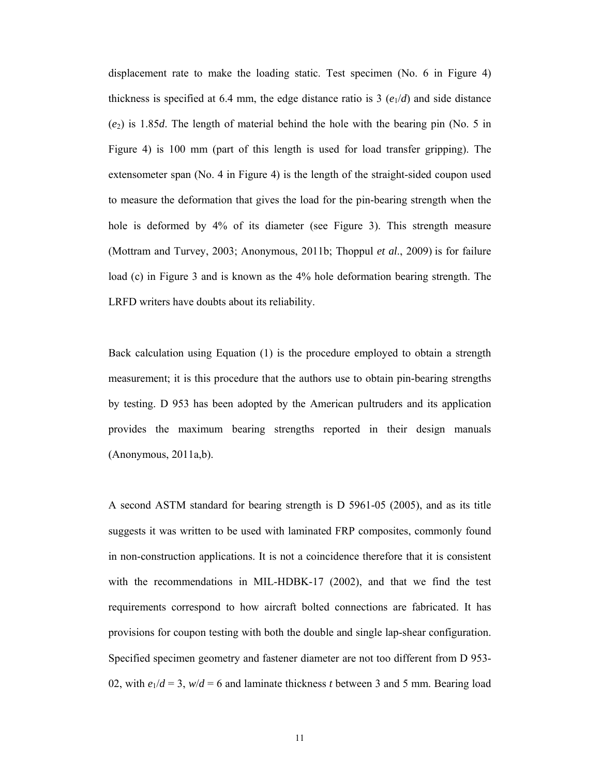displacement rate to make the loading static. Test specimen (No. 6 in Figure 4) thickness is specified at 6.4 mm, the edge distance ratio is 3  $(e_1/d)$  and side distance (*e*2) is 1.85*d*. The length of material behind the hole with the bearing pin (No. 5 in Figure 4) is 100 mm (part of this length is used for load transfer gripping). The extensometer span (No. 4 in Figure 4) is the length of the straight-sided coupon used to measure the deformation that gives the load for the pin-bearing strength when the hole is deformed by 4% of its diameter (see Figure 3). This strength measure (Mottram and Turvey, 2003; Anonymous, 2011b; Thoppul *et al*., 2009) is for failure load (c) in Figure 3 and is known as the 4% hole deformation bearing strength. The LRFD writers have doubts about its reliability.

Back calculation using Equation (1) is the procedure employed to obtain a strength measurement; it is this procedure that the authors use to obtain pin-bearing strengths by testing. D 953 has been adopted by the American pultruders and its application provides the maximum bearing strengths reported in their design manuals  $(Anonymous, 2011a,b).$ 

A second ASTM standard for bearing strength is D 5961-05 (2005), and as its title suggests it was written to be used with laminated FRP composites, commonly found in non-construction applications. It is not a coincidence therefore that it is consistent with the recommendations in MIL-HDBK-17 (2002), and that we find the test requirements correspond to how aircraft bolted connections are fabricated. It has provisions for coupon testing with both the double and single lap-shear configuration. Specified specimen geometry and fastener diameter are not too different from D 953- 02, with  $e_1/d = 3$ ,  $w/d = 6$  and laminate thickness *t* between 3 and 5 mm. Bearing load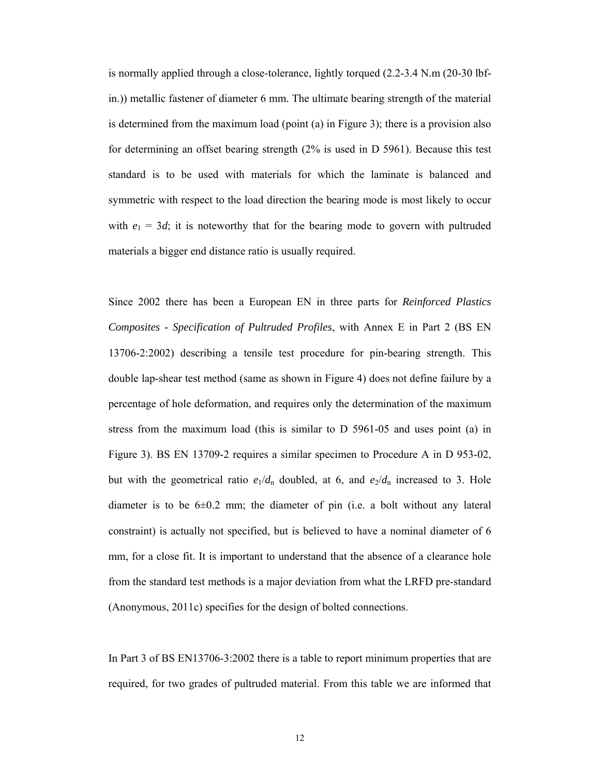is normally applied through a close-tolerance, lightly torqued (2.2-3.4 N.m (20-30 lbfin.)) metallic fastener of diameter 6 mm. The ultimate bearing strength of the material is determined from the maximum load (point (a) in Figure 3); there is a provision also for determining an offset bearing strength (2% is used in D 5961). Because this test standard is to be used with materials for which the laminate is balanced and symmetric with respect to the load direction the bearing mode is most likely to occur with  $e_1 = 3d$ ; it is noteworthy that for the bearing mode to govern with pultruded materials a bigger end distance ratio is usually required.

Since 2002 there has been a European EN in three parts for *Reinforced Plastics Composites - Specification of Pultruded Profiles*, with Annex E in Part 2 (BS EN 13706-2:2002) describing a tensile test procedure for pin-bearing strength. This double lap-shear test method (same as shown in Figure 4) does not define failure by a percentage of hole deformation, and requires only the determination of the maximum stress from the maximum load (this is similar to D 5961-05 and uses point (a) in Figure 3). BS EN 13709-2 requires a similar specimen to Procedure A in D 953-02, but with the geometrical ratio  $e_1/d_n$  doubled, at 6, and  $e_2/d_n$  increased to 3. Hole diameter is to be  $6\pm0.2$  mm; the diameter of pin (i.e. a bolt without any lateral constraint) is actually not specified, but is believed to have a nominal diameter of 6 mm, for a close fit. It is important to understand that the absence of a clearance hole from the standard test methods is a major deviation from what the LRFD pre-standard (Anonymous, 2011c) specifies for the design of bolted connections.

In Part 3 of BS EN13706-3:2002 there is a table to report minimum properties that are required, for two grades of pultruded material. From this table we are informed that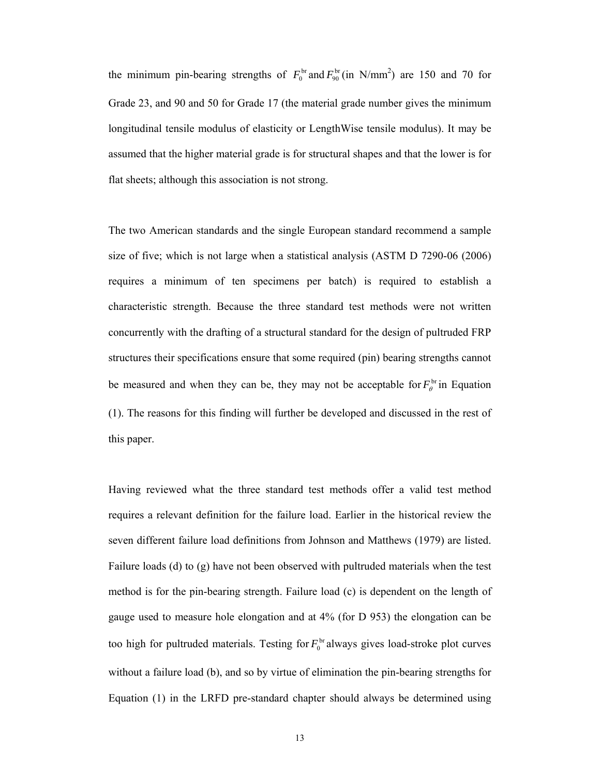the minimum pin-bearing strengths of  $F_0^{\text{br}}$  and  $F_{90}^{\text{br}}$  (in N/mm<sup>2</sup>) are 150 and 70 for Grade 23, and 90 and 50 for Grade 17 (the material grade number gives the minimum longitudinal tensile modulus of elasticity or LengthWise tensile modulus). It may be assumed that the higher material grade is for structural shapes and that the lower is for flat sheets; although this association is not strong.

The two American standards and the single European standard recommend a sample size of five; which is not large when a statistical analysis (ASTM D 7290-06 (2006) requires a minimum of ten specimens per batch) is required to establish a characteristic strength. Because the three standard test methods were not written concurrently with the drafting of a structural standard for the design of pultruded FRP structures their specifications ensure that some required (pin) bearing strengths cannot be measured and when they can be, they may not be acceptable for  $F_\theta^{\text{br}}$  in Equation (1). The reasons for this finding will further be developed and discussed in the rest of this paper.

Having reviewed what the three standard test methods offer a valid test method requires a relevant definition for the failure load. Earlier in the historical review the seven different failure load definitions from Johnson and Matthews (1979) are listed. Failure loads (d) to (g) have not been observed with pultruded materials when the test method is for the pin-bearing strength. Failure load (c) is dependent on the length of gauge used to measure hole elongation and at 4% (for D 953) the elongation can be too high for pultruded materials. Testing for  $F_0^{\text{br}}$  always gives load-stroke plot curves without a failure load (b), and so by virtue of elimination the pin-bearing strengths for Equation (1) in the LRFD pre-standard chapter should always be determined using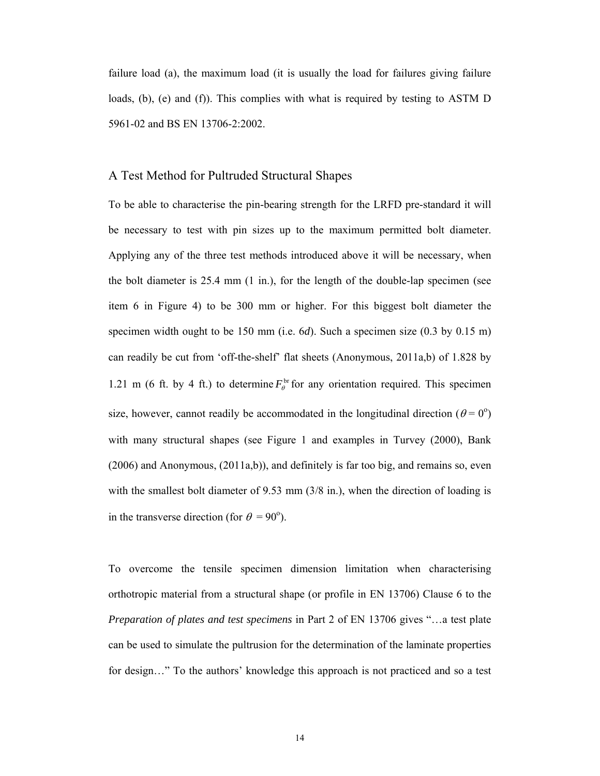failure load (a), the maximum load (it is usually the load for failures giving failure loads, (b), (e) and (f)). This complies with what is required by testing to ASTM D 5961-02 and BS EN 13706-2:2002.

#### A Test Method for Pultruded Structural Shapes

To be able to characterise the pin-bearing strength for the LRFD pre-standard it will be necessary to test with pin sizes up to the maximum permitted bolt diameter. Applying any of the three test methods introduced above it will be necessary, when the bolt diameter is 25.4 mm (1 in.), for the length of the double-lap specimen (see item 6 in Figure 4) to be 300 mm or higher. For this biggest bolt diameter the specimen width ought to be 150 mm (i.e. 6*d*). Such a specimen size (0.3 by 0.15 m) can readily be cut from 'off-the-shelf' flat sheets (Anonymous, 2011a,b) of 1.828 by 1.21 m (6 ft. by 4 ft.) to determine  $F_\theta^{\text{br}}$  for any orientation required. This specimen size, however, cannot readily be accommodated in the longitudinal direction ( $\theta = 0^{\circ}$ ) with many structural shapes (see Figure 1 and examples in Turvey (2000), Bank (2006) and Anonymous, (2011a,b)), and definitely is far too big, and remains so, even with the smallest bolt diameter of 9.53 mm (3/8 in.), when the direction of loading is in the transverse direction (for  $\theta = 90^{\circ}$ ).

To overcome the tensile specimen dimension limitation when characterising orthotropic material from a structural shape (or profile in EN 13706) Clause 6 to the *Preparation of plates and test specimens* in Part 2 of EN 13706 gives "…a test plate can be used to simulate the pultrusion for the determination of the laminate properties for design…" To the authors' knowledge this approach is not practiced and so a test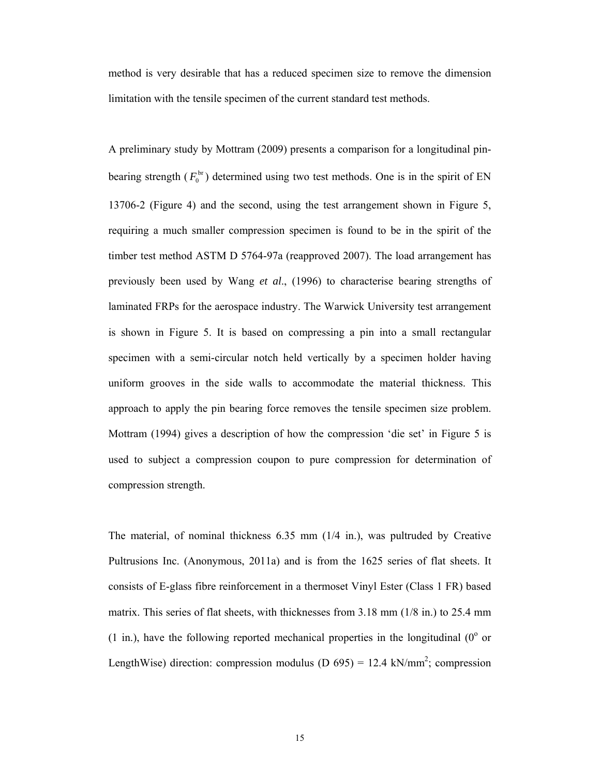method is very desirable that has a reduced specimen size to remove the dimension limitation with the tensile specimen of the current standard test methods.

A preliminary study by Mottram (2009) presents a comparison for a longitudinal pinbearing strength  $(F_0^{\text{br}})$  determined using two test methods. One is in the spirit of EN 13706-2 (Figure 4) and the second, using the test arrangement shown in Figure 5, requiring a much smaller compression specimen is found to be in the spirit of the timber test method ASTM D 5764-97a (reapproved 2007). The load arrangement has previously been used by Wang *et al*., (1996) to characterise bearing strengths of laminated FRPs for the aerospace industry. The Warwick University test arrangement is shown in Figure 5. It is based on compressing a pin into a small rectangular specimen with a semi-circular notch held vertically by a specimen holder having uniform grooves in the side walls to accommodate the material thickness. This approach to apply the pin bearing force removes the tensile specimen size problem. Mottram (1994) gives a description of how the compression 'die set' in Figure 5 is used to subject a compression coupon to pure compression for determination of compression strength.

The material, of nominal thickness 6.35 mm (1/4 in.), was pultruded by Creative Pultrusions Inc. (Anonymous, 2011a) and is from the 1625 series of flat sheets. It consists of E-glass fibre reinforcement in a thermoset Vinyl Ester (Class 1 FR) based matrix. This series of flat sheets, with thicknesses from  $3.18$  mm  $(1/8$  in.) to  $25.4$  mm  $(1 \text{ in.})$ , have the following reported mechanical properties in the longitudinal  $(0^{\circ}$  or LengthWise) direction: compression modulus (D 695) = 12.4 kN/mm<sup>2</sup>; compression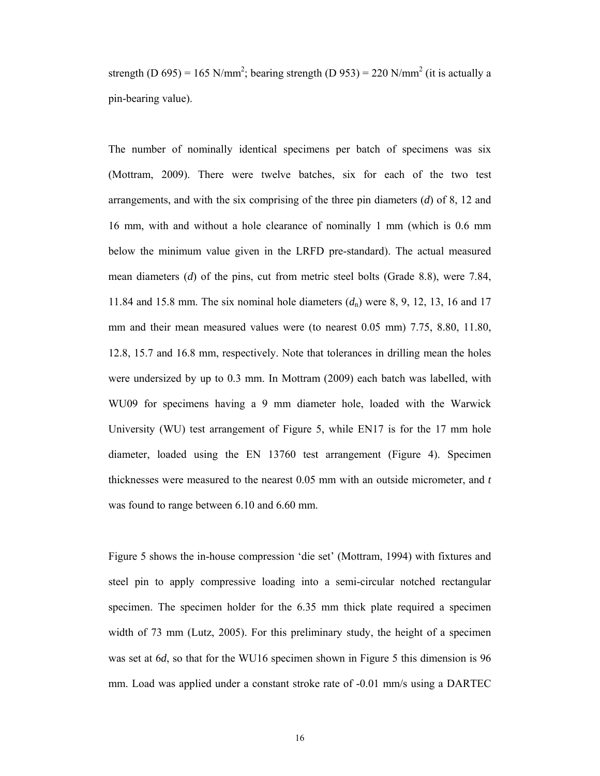strength (D 695) = 165 N/mm<sup>2</sup>; bearing strength (D 953) = 220 N/mm<sup>2</sup> (it is actually a pin-bearing value).

The number of nominally identical specimens per batch of specimens was six (Mottram, 2009). There were twelve batches, six for each of the two test arrangements, and with the six comprising of the three pin diameters (*d*) of 8, 12 and 16 mm, with and without a hole clearance of nominally 1 mm (which is 0.6 mm below the minimum value given in the LRFD pre-standard). The actual measured mean diameters (*d*) of the pins, cut from metric steel bolts (Grade 8.8), were 7.84, 11.84 and 15.8 mm. The six nominal hole diameters  $(d_n)$  were 8, 9, 12, 13, 16 and 17 mm and their mean measured values were (to nearest 0.05 mm) 7.75, 8.80, 11.80, 12.8, 15.7 and 16.8 mm, respectively. Note that tolerances in drilling mean the holes were undersized by up to 0.3 mm. In Mottram (2009) each batch was labelled, with WU09 for specimens having a 9 mm diameter hole, loaded with the Warwick University (WU) test arrangement of Figure 5, while EN17 is for the 17 mm hole diameter, loaded using the EN 13760 test arrangement (Figure 4). Specimen thicknesses were measured to the nearest 0.05 mm with an outside micrometer, and *t* was found to range between 6.10 and 6.60 mm.

Figure 5 shows the in-house compression 'die set' (Mottram, 1994) with fixtures and steel pin to apply compressive loading into a semi-circular notched rectangular specimen. The specimen holder for the 6.35 mm thick plate required a specimen width of 73 mm (Lutz, 2005). For this preliminary study, the height of a specimen was set at 6*d*, so that for the WU16 specimen shown in Figure 5 this dimension is 96 mm. Load was applied under a constant stroke rate of -0.01 mm/s using a DARTEC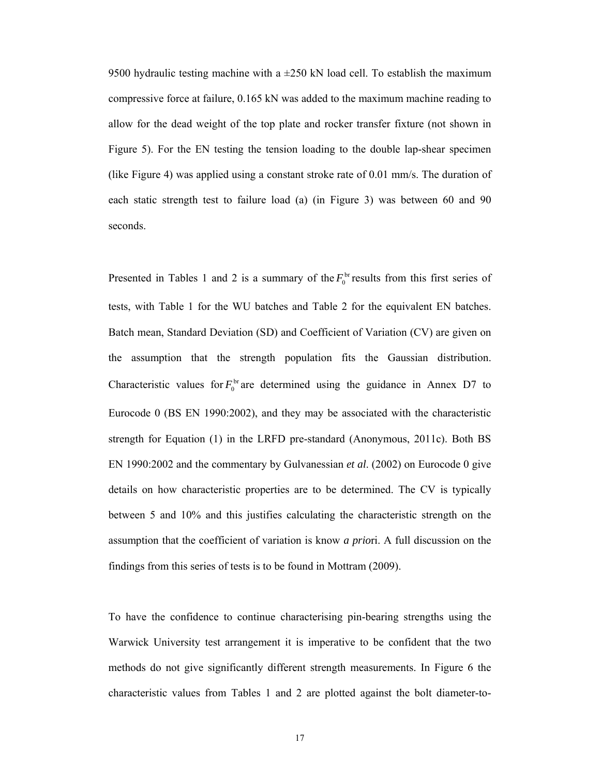9500 hydraulic testing machine with a  $\pm$ 250 kN load cell. To establish the maximum compressive force at failure, 0.165 kN was added to the maximum machine reading to allow for the dead weight of the top plate and rocker transfer fixture (not shown in Figure 5). For the EN testing the tension loading to the double lap-shear specimen (like Figure 4) was applied using a constant stroke rate of 0.01 mm/s. The duration of each static strength test to failure load (a) (in Figure 3) was between 60 and 90 seconds.

Presented in Tables 1 and 2 is a summary of the  $F_0^{\text{br}}$  results from this first series of tests, with Table 1 for the WU batches and Table 2 for the equivalent EN batches. Batch mean, Standard Deviation (SD) and Coefficient of Variation (CV) are given on the assumption that the strength population fits the Gaussian distribution. Characteristic values for  $F_0^{br}$  are determined using the guidance in Annex D7 to Eurocode 0 (BS EN 1990:2002), and they may be associated with the characteristic strength for Equation (1) in the LRFD pre-standard (Anonymous, 2011c). Both BS EN 1990:2002 and the commentary by Gulvanessian *et al*. (2002) on Eurocode 0 give details on how characteristic properties are to be determined. The CV is typically between 5 and 10% and this justifies calculating the characteristic strength on the assumption that the coefficient of variation is know *a prio*ri. A full discussion on the findings from this series of tests is to be found in Mottram (2009).

To have the confidence to continue characterising pin-bearing strengths using the Warwick University test arrangement it is imperative to be confident that the two methods do not give significantly different strength measurements. In Figure 6 the characteristic values from Tables 1 and 2 are plotted against the bolt diameter-to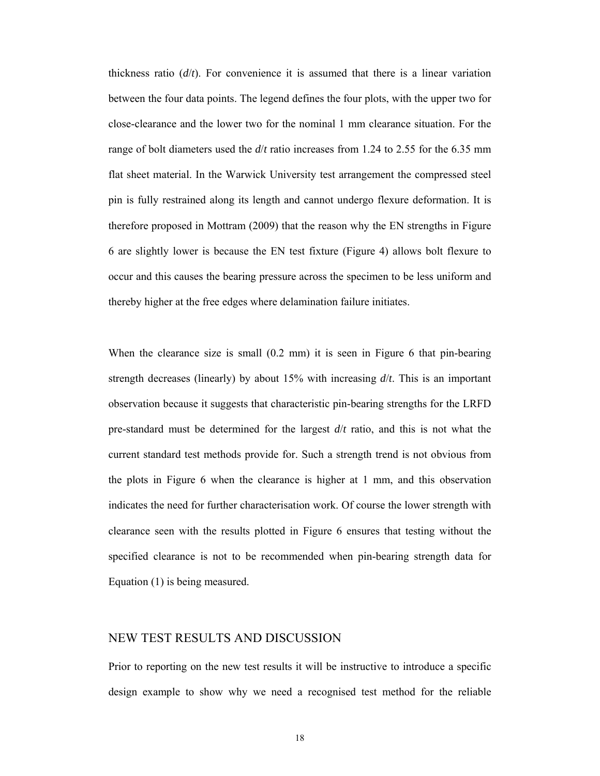thickness ratio  $(d/t)$ . For convenience it is assumed that there is a linear variation between the four data points. The legend defines the four plots, with the upper two for close-clearance and the lower two for the nominal 1 mm clearance situation. For the range of bolt diameters used the *d*/*t* ratio increases from 1.24 to 2.55 for the 6.35 mm flat sheet material. In the Warwick University test arrangement the compressed steel pin is fully restrained along its length and cannot undergo flexure deformation. It is therefore proposed in Mottram (2009) that the reason why the EN strengths in Figure 6 are slightly lower is because the EN test fixture (Figure 4) allows bolt flexure to occur and this causes the bearing pressure across the specimen to be less uniform and thereby higher at the free edges where delamination failure initiates.

When the clearance size is small (0.2 mm) it is seen in Figure 6 that pin-bearing strength decreases (linearly) by about 15% with increasing *d*/*t*. This is an important observation because it suggests that characteristic pin-bearing strengths for the LRFD pre-standard must be determined for the largest *d*/*t* ratio, and this is not what the current standard test methods provide for. Such a strength trend is not obvious from the plots in Figure 6 when the clearance is higher at 1 mm, and this observation indicates the need for further characterisation work. Of course the lower strength with clearance seen with the results plotted in Figure 6 ensures that testing without the specified clearance is not to be recommended when pin-bearing strength data for Equation (1) is being measured.

# NEW TEST RESULTS AND DISCUSSION

Prior to reporting on the new test results it will be instructive to introduce a specific design example to show why we need a recognised test method for the reliable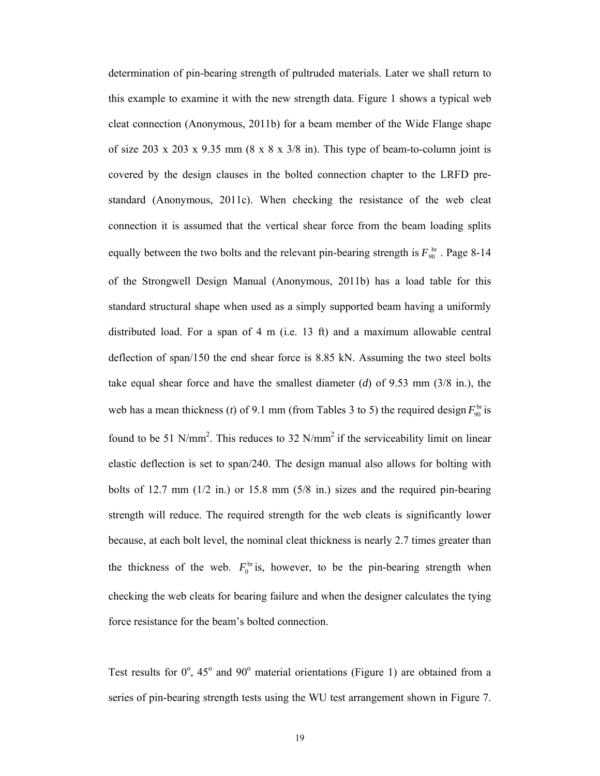determination of pin-bearing strength of pultruded materials. Later we shall return to this example to examine it with the new strength data. Figure 1 shows a typical web cleat connection (Anonymous, 2011b) for a beam member of the Wide Flange shape of size 203 x 203 x 9.35 mm (8 x 8 x 3/8 in). This type of beam-to-column joint is covered by the design clauses in the bolted connection chapter to the LRFD prestandard (Anonymous, 2011c). When checking the resistance of the web cleat connection it is assumed that the vertical shear force from the beam loading splits equally between the two bolts and the relevant pin-bearing strength is  $F_{90}^{b}$ . Page 8-14 of the Strongwell Design Manual (Anonymous, 2011b) has a load table for this standard structural shape when used as a simply supported beam having a uniformly distributed load. For a span of 4 m (i.e. 13 ft) and a maximum allowable central deflection of span/150 the end shear force is 8.85 kN. Assuming the two steel bolts take equal shear force and have the smallest diameter (*d*) of 9.53 mm (3/8 in.), the web has a mean thickness (*t*) of 9.1 mm (from Tables 3 to 5) the required design  $F_{90}^{br}$  is found to be 51 N/mm<sup>2</sup>. This reduces to 32 N/mm<sup>2</sup> if the serviceability limit on linear elastic deflection is set to span/240. The design manual also allows for bolting with bolts of 12.7 mm (1/2 in.) or 15.8 mm (5/8 in.) sizes and the required pin-bearing strength will reduce. The required strength for the web cleats is significantly lower because, at each bolt level, the nominal cleat thickness is nearly 2.7 times greater than the thickness of the web.  $F_0^{\text{br}}$  is, however, to be the pin-bearing strength when checking the web cleats for bearing failure and when the designer calculates the tying force resistance for the beam's bolted connection.

Test results for  $0^{\circ}$ , 45° and 90° material orientations (Figure 1) are obtained from a series of pin-bearing strength tests using the WU test arrangement shown in Figure 7.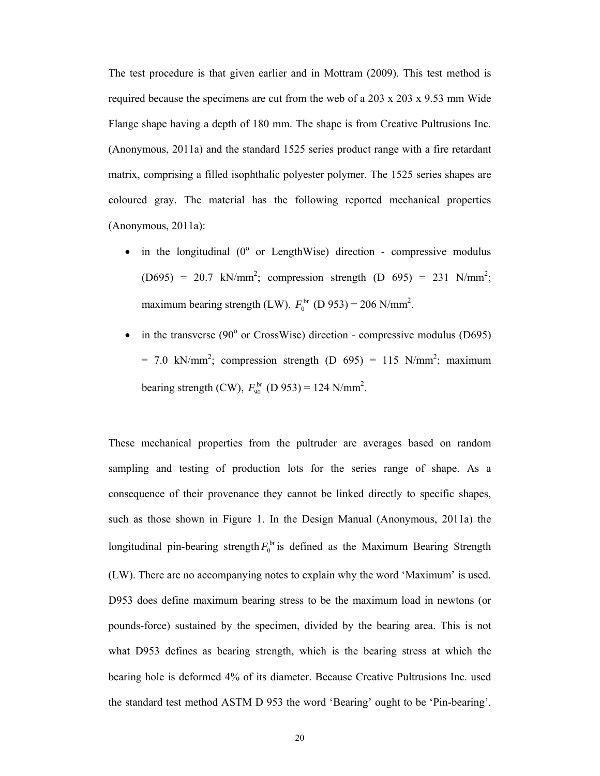The test procedure is that given earlier and in Mottram (2009). This test method is required because the specimens are cut from the web of a 203 x 203 x 9.53 mm Wide Flange shape having a depth of 180 mm. The shape is from Creative Pultrusions Inc. (Anonymous, 2011a) and the standard 1525 series product range with a fire retardant matrix, comprising a filled isophthalic polyester polymer. The 1525 series shapes are coloured gray. The material has the following reported mechanical properties (Anonymous, 2011a):

- $\bullet$  in the longitudinal (0° or LengthWise) direction compressive modulus  $(D695) = 20.7$  kN/mm<sup>2</sup>; compression strength  $(D 695) = 231$  N/mm<sup>2</sup>; maximum bearing strength (LW),  $F_0^{\text{br}}$  (D 953) = 206 N/mm<sup>2</sup>.
- in the transverse (90 $^{\circ}$  or CrossWise) direction compressive modulus (D695)  $= 7.0 \text{ kN/mm}^2$ ; compression strength (D 695)  $= 115 \text{ N/mm}^2$ ; maximum bearing strength (CW),  $F_{90}^{br}$  (D 953) = 124 N/mm<sup>2</sup>.

These mechanical properties from the pultruder are averages based on random sampling and testing of production lots for the series range of shape. As a consequence of their provenance they cannot be linked directly to specific shapes, such as those shown in Figure 1. In the Design Manual (Anonymous, 2011a) the longitudinal pin-bearing strength  $F_0^{\text{br}}$  is defined as the Maximum Bearing Strength (LW). There are no accompanying notes to explain why the word 'Maximum' is used. D953 does define maximum bearing stress to be the maximum load in newtons (or pounds-force) sustained by the specimen, divided by the bearing area. This is not what D953 defines as bearing strength, which is the bearing stress at which the bearing hole is deformed 4% of its diameter. Because Creative Pultrusions Inc. used the standard test method ASTM D 953 the word 'Bearing' ought to be 'Pin-bearing'.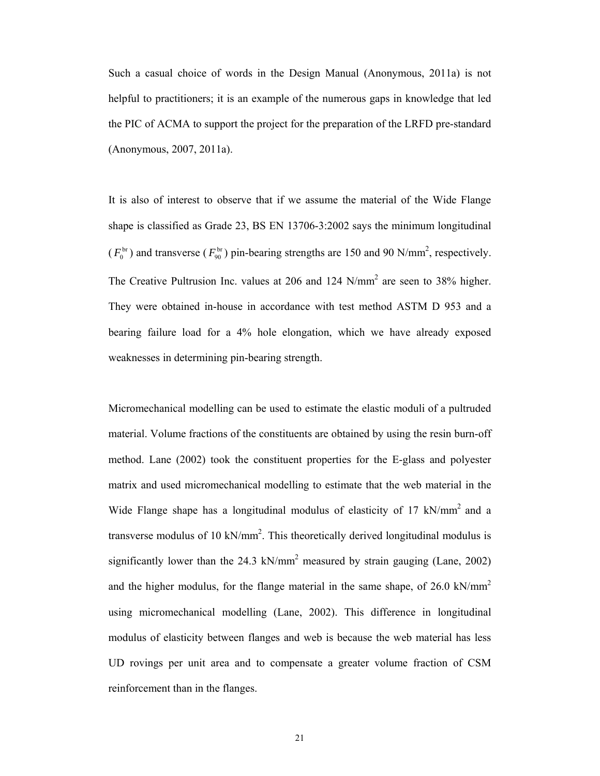Such a casual choice of words in the Design Manual (Anonymous, 2011a) is not helpful to practitioners; it is an example of the numerous gaps in knowledge that led the PIC of ACMA to support the project for the preparation of the LRFD pre-standard (Anonymous, 2007, 2011a).

It is also of interest to observe that if we assume the material of the Wide Flange shape is classified as Grade 23, BS EN 13706-3:2002 says the minimum longitudinal  $(F_0^{\text{br}})$  and transverse  $(F_{90}^{\text{br}})$  pin-bearing strengths are 150 and 90 N/mm<sup>2</sup>, respectively. The Creative Pultrusion Inc. values at 206 and 124  $N/mm^2$  are seen to 38% higher. They were obtained in-house in accordance with test method ASTM D 953 and a bearing failure load for a 4% hole elongation, which we have already exposed weaknesses in determining pin-bearing strength.

Micromechanical modelling can be used to estimate the elastic moduli of a pultruded material. Volume fractions of the constituents are obtained by using the resin burn-off method. Lane (2002) took the constituent properties for the E-glass and polyester matrix and used micromechanical modelling to estimate that the web material in the Wide Flange shape has a longitudinal modulus of elasticity of 17 kN/mm<sup>2</sup> and a transverse modulus of 10 kN/mm<sup>2</sup>. This theoretically derived longitudinal modulus is significantly lower than the 24.3 kN/mm<sup>2</sup> measured by strain gauging (Lane, 2002) and the higher modulus, for the flange material in the same shape, of  $26.0 \text{ kN/mm}^2$ using micromechanical modelling (Lane, 2002). This difference in longitudinal modulus of elasticity between flanges and web is because the web material has less UD rovings per unit area and to compensate a greater volume fraction of CSM reinforcement than in the flanges.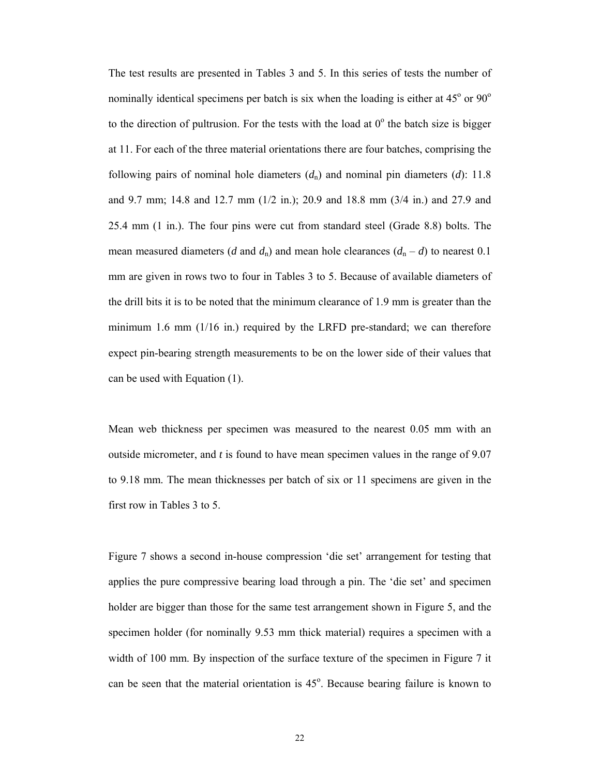The test results are presented in Tables 3 and 5. In this series of tests the number of nominally identical specimens per batch is six when the loading is either at  $45^{\circ}$  or  $90^{\circ}$ to the direction of pultrusion. For the tests with the load at  $0^{\circ}$  the batch size is bigger at 11. For each of the three material orientations there are four batches, comprising the following pairs of nominal hole diameters  $(d<sub>n</sub>)$  and nominal pin diameters  $(d)$ : 11.8 and 9.7 mm; 14.8 and 12.7 mm (1/2 in.); 20.9 and 18.8 mm (3/4 in.) and 27.9 and 25.4 mm (1 in.). The four pins were cut from standard steel (Grade 8.8) bolts. The mean measured diameters (*d* and  $d_n$ ) and mean hole clearances ( $d_n - d$ ) to nearest 0.1 mm are given in rows two to four in Tables 3 to 5. Because of available diameters of the drill bits it is to be noted that the minimum clearance of 1.9 mm is greater than the minimum 1.6 mm (1/16 in.) required by the LRFD pre-standard; we can therefore expect pin-bearing strength measurements to be on the lower side of their values that can be used with Equation (1).

Mean web thickness per specimen was measured to the nearest 0.05 mm with an outside micrometer, and *t* is found to have mean specimen values in the range of 9.07 to 9.18 mm. The mean thicknesses per batch of six or 11 specimens are given in the first row in Tables 3 to 5.

Figure 7 shows a second in-house compression 'die set' arrangement for testing that applies the pure compressive bearing load through a pin. The 'die set' and specimen holder are bigger than those for the same test arrangement shown in Figure 5, and the specimen holder (for nominally 9.53 mm thick material) requires a specimen with a width of 100 mm. By inspection of the surface texture of the specimen in Figure 7 it can be seen that the material orientation is  $45^\circ$ . Because bearing failure is known to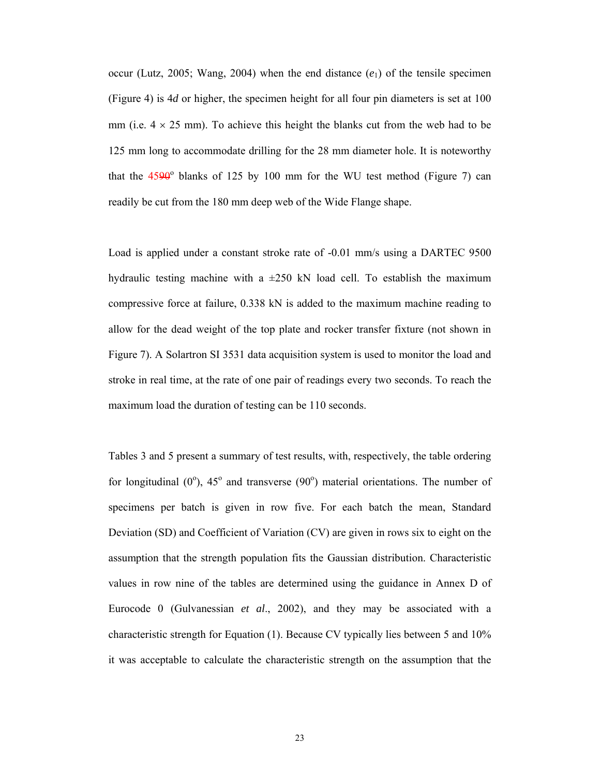occur (Lutz, 2005; Wang, 2004) when the end distance  $(e_1)$  of the tensile specimen (Figure 4) is 4*d* or higher, the specimen height for all four pin diameters is set at 100 mm (i.e.  $4 \times 25$  mm). To achieve this height the blanks cut from the web had to be 125 mm long to accommodate drilling for the 28 mm diameter hole. It is noteworthy that the  $4590^\circ$  blanks of 125 by 100 mm for the WU test method (Figure 7) can readily be cut from the 180 mm deep web of the Wide Flange shape.

Load is applied under a constant stroke rate of -0.01 mm/s using a DARTEC 9500 hydraulic testing machine with a  $\pm 250$  kN load cell. To establish the maximum compressive force at failure, 0.338 kN is added to the maximum machine reading to allow for the dead weight of the top plate and rocker transfer fixture (not shown in Figure 7). A Solartron SI 3531 data acquisition system is used to monitor the load and stroke in real time, at the rate of one pair of readings every two seconds. To reach the maximum load the duration of testing can be 110 seconds.

Tables 3 and 5 present a summary of test results, with, respectively, the table ordering for longitudinal  $(0^{\circ})$ , 45° and transverse  $(90^{\circ})$  material orientations. The number of specimens per batch is given in row five. For each batch the mean, Standard Deviation (SD) and Coefficient of Variation (CV) are given in rows six to eight on the assumption that the strength population fits the Gaussian distribution. Characteristic values in row nine of the tables are determined using the guidance in Annex D of Eurocode 0 (Gulvanessian *et al*., 2002), and they may be associated with a characteristic strength for Equation (1). Because CV typically lies between 5 and 10% it was acceptable to calculate the characteristic strength on the assumption that the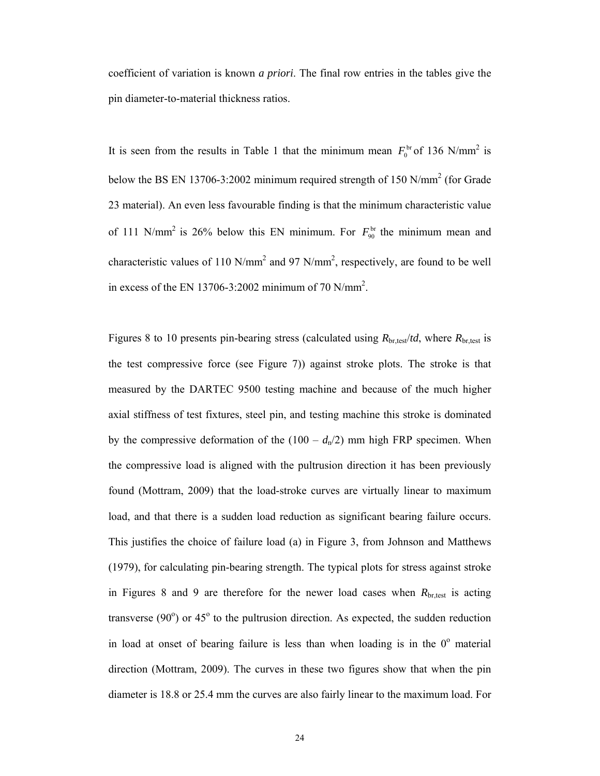coefficient of variation is known *a priori*. The final row entries in the tables give the pin diameter-to-material thickness ratios.

It is seen from the results in Table 1 that the minimum mean  $F_0^{\text{br}}$  of 136 N/mm<sup>2</sup> is below the BS EN 13706-3:2002 minimum required strength of 150  $N/mm^2$  (for Grade 23 material). An even less favourable finding is that the minimum characteristic value of 111 N/mm<sup>2</sup> is 26% below this EN minimum. For  $F_{90}^{br}$  the minimum mean and characteristic values of 110 N/mm<sup>2</sup> and 97 N/mm<sup>2</sup>, respectively, are found to be well in excess of the EN 13706-3:2002 minimum of 70 N/mm<sup>2</sup>.

Figures 8 to 10 presents pin-bearing stress (calculated using *R*br,test/*td*, where *R*br,test is the test compressive force (see Figure 7)) against stroke plots. The stroke is that measured by the DARTEC 9500 testing machine and because of the much higher axial stiffness of test fixtures, steel pin, and testing machine this stroke is dominated by the compressive deformation of the  $(100 - d_n/2)$  mm high FRP specimen. When the compressive load is aligned with the pultrusion direction it has been previously found (Mottram, 2009) that the load-stroke curves are virtually linear to maximum load, and that there is a sudden load reduction as significant bearing failure occurs. This justifies the choice of failure load (a) in Figure 3, from Johnson and Matthews (1979), for calculating pin-bearing strength. The typical plots for stress against stroke in Figures 8 and 9 are therefore for the newer load cases when  $R_{\text{br,test}}$  is acting transverse  $(90^{\circ})$  or  $45^{\circ}$  to the pultrusion direction. As expected, the sudden reduction in load at onset of bearing failure is less than when loading is in the  $0^{\circ}$  material direction (Mottram, 2009). The curves in these two figures show that when the pin diameter is 18.8 or 25.4 mm the curves are also fairly linear to the maximum load. For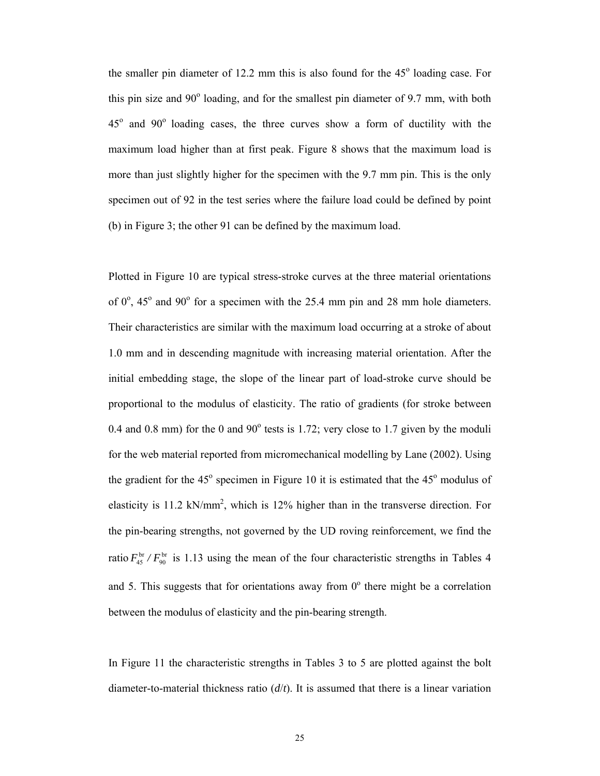the smaller pin diameter of  $12.2$  mm this is also found for the  $45^\circ$  loading case. For this pin size and  $90^{\circ}$  loading, and for the smallest pin diameter of 9.7 mm, with both  $45^\circ$  and  $90^\circ$  loading cases, the three curves show a form of ductility with the maximum load higher than at first peak. Figure 8 shows that the maximum load is more than just slightly higher for the specimen with the 9.7 mm pin. This is the only specimen out of 92 in the test series where the failure load could be defined by point (b) in Figure 3; the other 91 can be defined by the maximum load.

Plotted in Figure 10 are typical stress-stroke curves at the three material orientations of  $0^\circ$ ,  $45^\circ$  and  $90^\circ$  for a specimen with the 25.4 mm pin and 28 mm hole diameters. Their characteristics are similar with the maximum load occurring at a stroke of about 1.0 mm and in descending magnitude with increasing material orientation. After the initial embedding stage, the slope of the linear part of load-stroke curve should be proportional to the modulus of elasticity. The ratio of gradients (for stroke between 0.4 and 0.8 mm) for the 0 and  $90^\circ$  tests is 1.72; very close to 1.7 given by the moduli for the web material reported from micromechanical modelling by Lane (2002). Using the gradient for the  $45^{\circ}$  specimen in Figure 10 it is estimated that the  $45^{\circ}$  modulus of elasticity is 11.2 kN/mm<sup>2</sup>, which is 12% higher than in the transverse direction. For the pin-bearing strengths, not governed by the UD roving reinforcement, we find the ratio  $F_{45}^{b\tau}/F_{90}^{b\tau}$  is 1.13 using the mean of the four characteristic strengths in Tables 4 and 5. This suggests that for orientations away from  $0^\circ$  there might be a correlation between the modulus of elasticity and the pin-bearing strength.

In Figure 11 the characteristic strengths in Tables 3 to 5 are plotted against the bolt diameter-to-material thickness ratio (*d*/*t*). It is assumed that there is a linear variation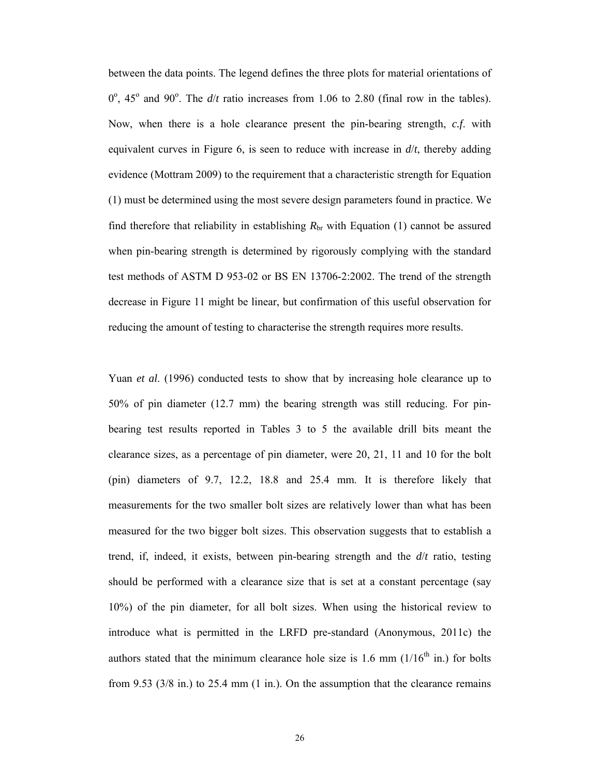between the data points. The legend defines the three plots for material orientations of  $0^{\circ}$ , 45<sup>o</sup> and 90<sup>o</sup>. The *d*/*t* ratio increases from 1.06 to 2.80 (final row in the tables). Now, when there is a hole clearance present the pin-bearing strength, *c.f*. with equivalent curves in Figure 6, is seen to reduce with increase in  $d/t$ , thereby adding evidence (Mottram 2009) to the requirement that a characteristic strength for Equation (1) must be determined using the most severe design parameters found in practice. We find therefore that reliability in establishing  $R_{\text{br}}$  with Equation (1) cannot be assured when pin-bearing strength is determined by rigorously complying with the standard test methods of ASTM D 953-02 or BS EN 13706-2:2002. The trend of the strength decrease in Figure 11 might be linear, but confirmation of this useful observation for reducing the amount of testing to characterise the strength requires more results.

Yuan *et al*. (1996) conducted tests to show that by increasing hole clearance up to 50% of pin diameter (12.7 mm) the bearing strength was still reducing. For pinbearing test results reported in Tables 3 to 5 the available drill bits meant the clearance sizes, as a percentage of pin diameter, were 20, 21, 11 and 10 for the bolt (pin) diameters of 9.7, 12.2, 18.8 and 25.4 mm. It is therefore likely that measurements for the two smaller bolt sizes are relatively lower than what has been measured for the two bigger bolt sizes. This observation suggests that to establish a trend, if, indeed, it exists, between pin-bearing strength and the *d*/*t* ratio, testing should be performed with a clearance size that is set at a constant percentage (say 10%) of the pin diameter, for all bolt sizes. When using the historical review to introduce what is permitted in the LRFD pre-standard (Anonymous, 2011c) the authors stated that the minimum clearance hole size is 1.6 mm  $(1/16<sup>th</sup>$  in.) for bolts from 9.53 (3/8 in.) to 25.4 mm (1 in.). On the assumption that the clearance remains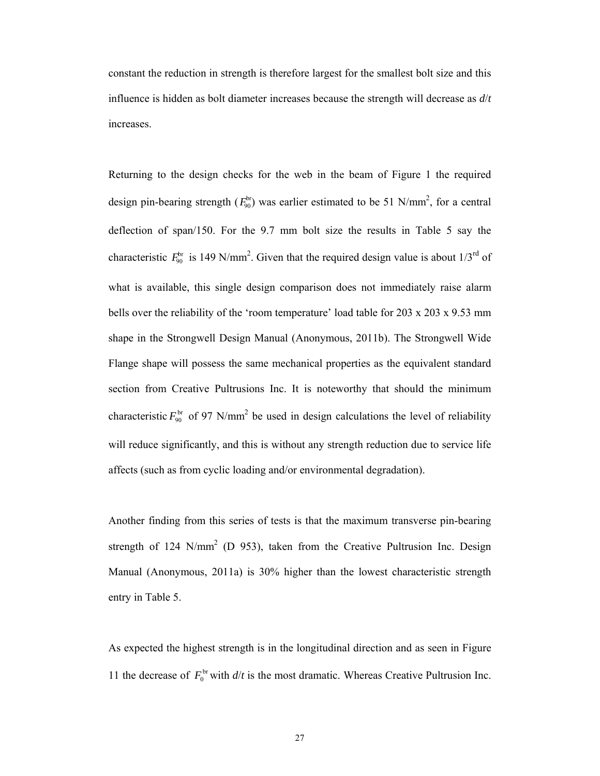constant the reduction in strength is therefore largest for the smallest bolt size and this influence is hidden as bolt diameter increases because the strength will decrease as *d*/*t* increases.

Returning to the design checks for the web in the beam of Figure 1 the required design pin-bearing strength  $(F_{90}^{br})$  was earlier estimated to be 51 N/mm<sup>2</sup>, for a central deflection of span/150. For the 9.7 mm bolt size the results in Table 5 say the characteristic  $F_{90}^{br}$  is 149 N/mm<sup>2</sup>. Given that the required design value is about 1/3<sup>rd</sup> of what is available, this single design comparison does not immediately raise alarm bells over the reliability of the 'room temperature' load table for 203 x 203 x 9.53 mm shape in the Strongwell Design Manual (Anonymous, 2011b). The Strongwell Wide Flange shape will possess the same mechanical properties as the equivalent standard section from Creative Pultrusions Inc. It is noteworthy that should the minimum characteristic  $F_{90}^{br}$  of 97 N/mm<sup>2</sup> be used in design calculations the level of reliability will reduce significantly, and this is without any strength reduction due to service life affects (such as from cyclic loading and/or environmental degradation).

Another finding from this series of tests is that the maximum transverse pin-bearing strength of 124 N/mm<sup>2</sup> (D 953), taken from the Creative Pultrusion Inc. Design Manual (Anonymous, 2011a) is 30% higher than the lowest characteristic strength entry in Table 5.

As expected the highest strength is in the longitudinal direction and as seen in Figure 11 the decrease of  $F_0^{\text{br}}$  with  $d/t$  is the most dramatic. Whereas Creative Pultrusion Inc.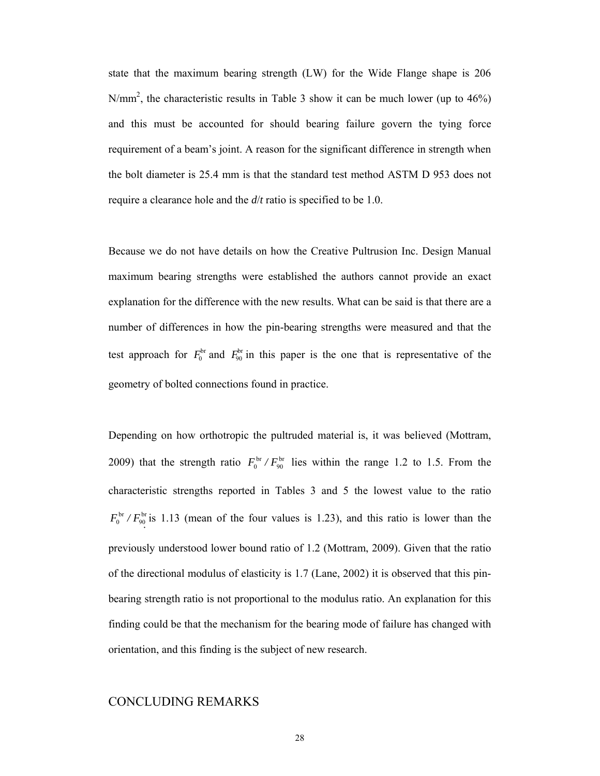state that the maximum bearing strength (LW) for the Wide Flange shape is 206 N/mm<sup>2</sup>, the characteristic results in Table 3 show it can be much lower (up to  $46\%$ ) and this must be accounted for should bearing failure govern the tying force requirement of a beam's joint. A reason for the significant difference in strength when the bolt diameter is 25.4 mm is that the standard test method ASTM D 953 does not require a clearance hole and the *d*/*t* ratio is specified to be 1.0.

Because we do not have details on how the Creative Pultrusion Inc. Design Manual maximum bearing strengths were established the authors cannot provide an exact explanation for the difference with the new results. What can be said is that there are a number of differences in how the pin-bearing strengths were measured and that the test approach for  $F_0^{\text{br}}$  and  $F_{90}^{\text{br}}$  in this paper is the one that is representative of the geometry of bolted connections found in practice.

Depending on how orthotropic the pultruded material is, it was believed (Mottram, 2009) that the strength ratio  $F_0^{br}/F_{90}^{br}$  lies within the range 1.2 to 1.5. From the characteristic strengths reported in Tables 3 and 5 the lowest value to the ratio  $F_0^{\text{br}}/F_{90}^{\text{br}}$  is 1.13 (mean of the four values is 1.23), and this ratio is lower than the previously understood lower bound ratio of 1.2 (Mottram, 2009). Given that the ratio of the directional modulus of elasticity is 1.7 (Lane, 2002) it is observed that this pinbearing strength ratio is not proportional to the modulus ratio. An explanation for this finding could be that the mechanism for the bearing mode of failure has changed with orientation, and this finding is the subject of new research.

# CONCLUDING REMARKS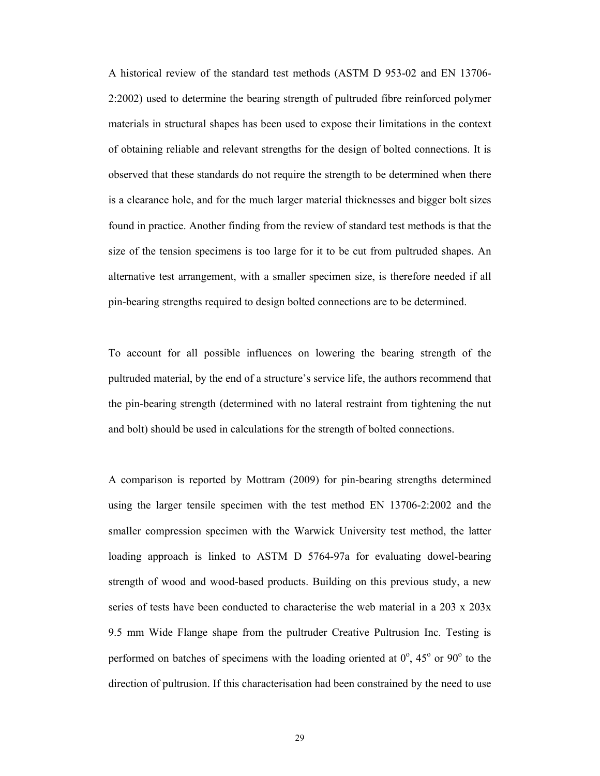A historical review of the standard test methods (ASTM D 953-02 and EN 13706- 2:2002) used to determine the bearing strength of pultruded fibre reinforced polymer materials in structural shapes has been used to expose their limitations in the context of obtaining reliable and relevant strengths for the design of bolted connections. It is observed that these standards do not require the strength to be determined when there is a clearance hole, and for the much larger material thicknesses and bigger bolt sizes found in practice. Another finding from the review of standard test methods is that the size of the tension specimens is too large for it to be cut from pultruded shapes. An alternative test arrangement, with a smaller specimen size, is therefore needed if all pin-bearing strengths required to design bolted connections are to be determined.

To account for all possible influences on lowering the bearing strength of the pultruded material, by the end of a structure's service life, the authors recommend that the pin-bearing strength (determined with no lateral restraint from tightening the nut and bolt) should be used in calculations for the strength of bolted connections.

A comparison is reported by Mottram (2009) for pin-bearing strengths determined using the larger tensile specimen with the test method EN 13706-2:2002 and the smaller compression specimen with the Warwick University test method, the latter loading approach is linked to ASTM D 5764-97a for evaluating dowel-bearing strength of wood and wood-based products. Building on this previous study, a new series of tests have been conducted to characterise the web material in a  $203 \times 203x$ 9.5 mm Wide Flange shape from the pultruder Creative Pultrusion Inc. Testing is performed on batches of specimens with the loading oriented at  $0^\circ$ , 45<sup>o</sup> or 90<sup>o</sup> to the direction of pultrusion. If this characterisation had been constrained by the need to use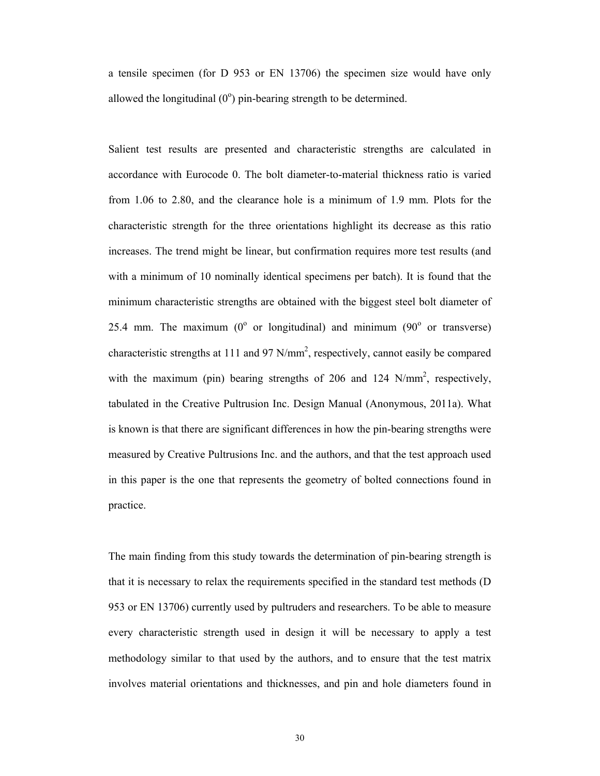a tensile specimen (for D 953 or EN 13706) the specimen size would have only allowed the longitudinal  $(0^{\circ})$  pin-bearing strength to be determined.

Salient test results are presented and characteristic strengths are calculated in accordance with Eurocode 0. The bolt diameter-to-material thickness ratio is varied from 1.06 to 2.80, and the clearance hole is a minimum of 1.9 mm. Plots for the characteristic strength for the three orientations highlight its decrease as this ratio increases. The trend might be linear, but confirmation requires more test results (and with a minimum of 10 nominally identical specimens per batch). It is found that the minimum characteristic strengths are obtained with the biggest steel bolt diameter of 25.4 mm. The maximum  $(0^{\circ}$  or longitudinal) and minimum  $(90^{\circ}$  or transverse) characteristic strengths at 111 and 97 N/mm<sup>2</sup>, respectively, cannot easily be compared with the maximum (pin) bearing strengths of 206 and 124  $N/mm^2$ , respectively, tabulated in the Creative Pultrusion Inc. Design Manual (Anonymous, 2011a). What is known is that there are significant differences in how the pin-bearing strengths were measured by Creative Pultrusions Inc. and the authors, and that the test approach used in this paper is the one that represents the geometry of bolted connections found in practice.

The main finding from this study towards the determination of pin-bearing strength is that it is necessary to relax the requirements specified in the standard test methods (D 953 or EN 13706) currently used by pultruders and researchers. To be able to measure every characteristic strength used in design it will be necessary to apply a test methodology similar to that used by the authors, and to ensure that the test matrix involves material orientations and thicknesses, and pin and hole diameters found in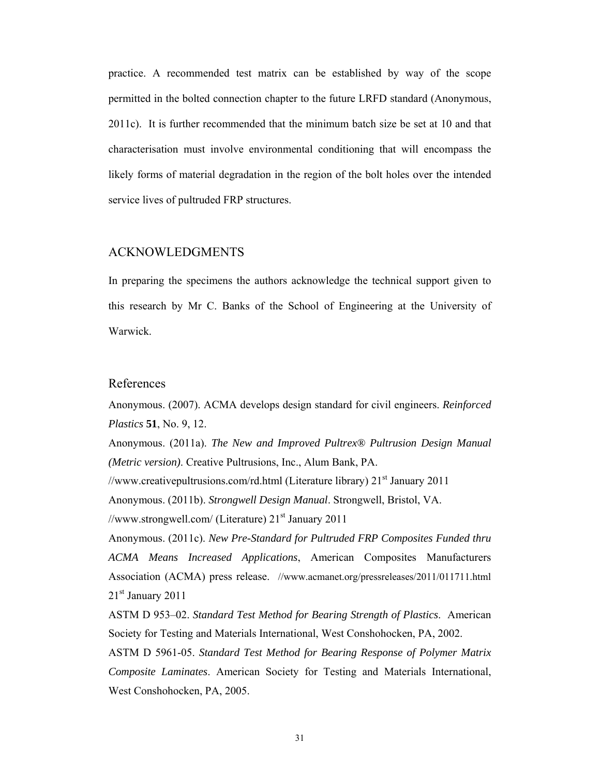practice. A recommended test matrix can be established by way of the scope permitted in the bolted connection chapter to the future LRFD standard (Anonymous, 2011c). It is further recommended that the minimum batch size be set at 10 and that characterisation must involve environmental conditioning that will encompass the likely forms of material degradation in the region of the bolt holes over the intended service lives of pultruded FRP structures.

### ACKNOWLEDGMENTS

In preparing the specimens the authors acknowledge the technical support given to this research by Mr C. Banks of the School of Engineering at the University of Warwick.

### References

Anonymous. (2007). ACMA develops design standard for civil engineers. *Reinforced Plastics* **51**, No. 9, 12.

Anonymous. (2011a). *The New and Improved Pultrex® Pultrusion Design Manual (Metric version)*. Creative Pultrusions, Inc., Alum Bank, PA.

//www.creativepultrusions.com/rd.html (Literature library)  $21<sup>st</sup>$  January 2011

Anonymous. (2011b). *Strongwell Design Manual*. Strongwell, Bristol, VA.

//www.strongwell.com/ (Literature) 21<sup>st</sup> January 2011

Anonymous. (2011c). *New Pre-Standard for Pultruded FRP Composites Funded thru ACMA Means Increased Applications*, American Composites Manufacturers Association (ACMA) press release. //www.acmanet.org/pressreleases/2011/011711.html  $21<sup>st</sup>$  January 2011

ASTM D 953–02. *Standard Test Method for Bearing Strength of Plastics*. American Society for Testing and Materials International, West Conshohocken, PA, 2002.

ASTM D 5961-05. *Standard Test Method for Bearing Response of Polymer Matrix Composite Laminates*. American Society for Testing and Materials International, West Conshohocken, PA, 2005.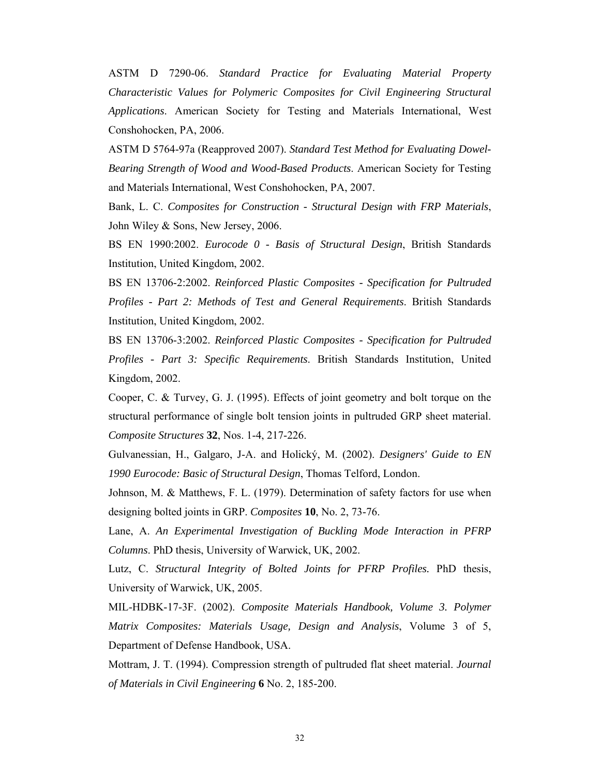ASTM D 7290-06. *Standard Practice for Evaluating Material Property Characteristic Values for Polymeric Composites for Civil Engineering Structural Applications*. American Society for Testing and Materials International, West Conshohocken, PA, 2006.

ASTM D 5764-97a (Reapproved 2007). *Standard Test Method for Evaluating Dowel-Bearing Strength of Wood and Wood-Based Products*. American Society for Testing and Materials International, West Conshohocken, PA, 2007.

Bank, L. C. *Composites for Construction - Structural Design with FRP Materials*, John Wiley & Sons, New Jersey, 2006.

BS EN 1990:2002. *Eurocode 0 - Basis of Structural Design*, British Standards Institution, United Kingdom, 2002.

BS EN 13706-2:2002. *Reinforced Plastic Composites - Specification for Pultruded Profiles - Part 2: Methods of Test and General Requirements*. British Standards Institution, United Kingdom, 2002.

BS EN 13706-3:2002. *Reinforced Plastic Composites - Specification for Pultruded Profiles - Part 3: Specific Requirements*. British Standards Institution, United Kingdom, 2002.

Cooper, C. & Turvey, G. J. (1995). Effects of joint geometry and bolt torque on the structural performance of single bolt tension joints in pultruded GRP sheet material. *Composite Structures* **32**, Nos. 1-4, 217-226.

Gulvanessian, H., Galgaro, J-A. and Holický, M. (2002). *Designers' Guide to EN 1990 Eurocode: Basic of Structural Design*, Thomas Telford, London.

Johnson, M. & Matthews, F. L. (1979). Determination of safety factors for use when designing bolted joints in GRP. *Composites* **10**, No. 2, 73-76.

Lane, A. *An Experimental Investigation of Buckling Mode Interaction in PFRP Columns*. PhD thesis, University of Warwick, UK, 2002.

Lutz, C. *Structural Integrity of Bolted Joints for PFRP Profiles.* PhD thesis, University of Warwick, UK, 2005.

MIL-HDBK-17-3F. (2002). *Composite Materials Handbook, Volume 3. Polymer Matrix Composites: Materials Usage, Design and Analysis*, Volume 3 of 5, Department of Defense Handbook, USA.

Mottram, J. T. (1994). Compression strength of pultruded flat sheet material. *Journal of Materials in Civil Engineering* **6** No. 2, 185-200.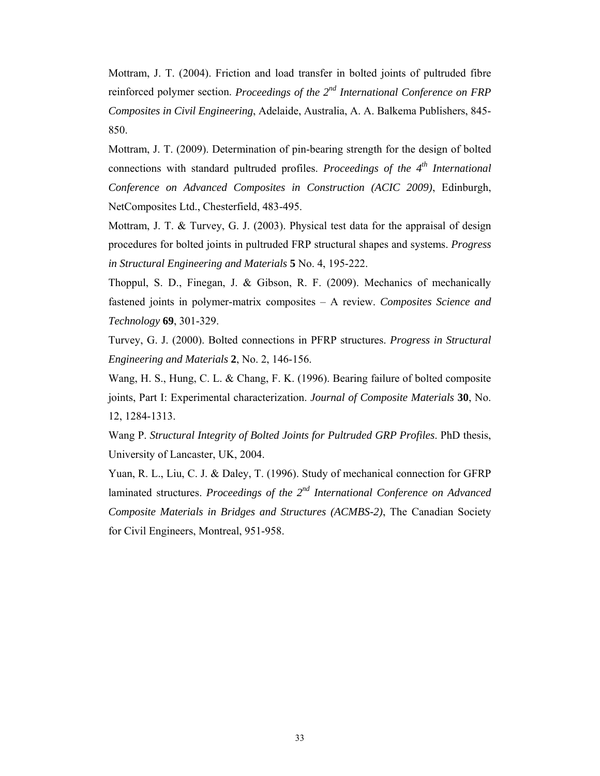Mottram, J. T. (2004). Friction and load transfer in bolted joints of pultruded fibre reinforced polymer section. *Proceedings of the 2nd International Conference on FRP Composites in Civil Engineering*, Adelaide, Australia, A. A. Balkema Publishers, 845- 850.

Mottram, J. T. (2009). Determination of pin-bearing strength for the design of bolted connections with standard pultruded profiles. *Proceedings of the 4<sup>th</sup> International Conference on Advanced Composites in Construction (ACIC 2009)*, Edinburgh, NetComposites Ltd., Chesterfield, 483-495.

Mottram, J. T. & Turvey, G. J. (2003). Physical test data for the appraisal of design procedures for bolted joints in pultruded FRP structural shapes and systems. *Progress in Structural Engineering and Materials* **5** No. 4, 195-222.

Thoppul, S. D., Finegan, J. & Gibson, R. F. (2009). Mechanics of mechanically fastened joints in polymer-matrix composites – A review. *Composites Science and Technology* **69**, 301-329.

Turvey, G. J. (2000). Bolted connections in PFRP structures. *Progress in Structural Engineering and Materials* **2**, No. 2, 146-156.

Wang, H. S., Hung, C. L. & Chang, F. K. (1996). Bearing failure of bolted composite joints, Part I: Experimental characterization. *Journal of Composite Materials* **30**, No. 12, 1284-1313.

Wang P. *Structural Integrity of Bolted Joints for Pultruded GRP Profiles*. PhD thesis, University of Lancaster, UK, 2004.

Yuan, R. L., Liu, C. J. & Daley, T. (1996). Study of mechanical connection for GFRP laminated structures. *Proceedings of the 2<sup>nd</sup> International Conference on Advanced Composite Materials in Bridges and Structures (ACMBS-2)*, The Canadian Society for Civil Engineers, Montreal, 951-958.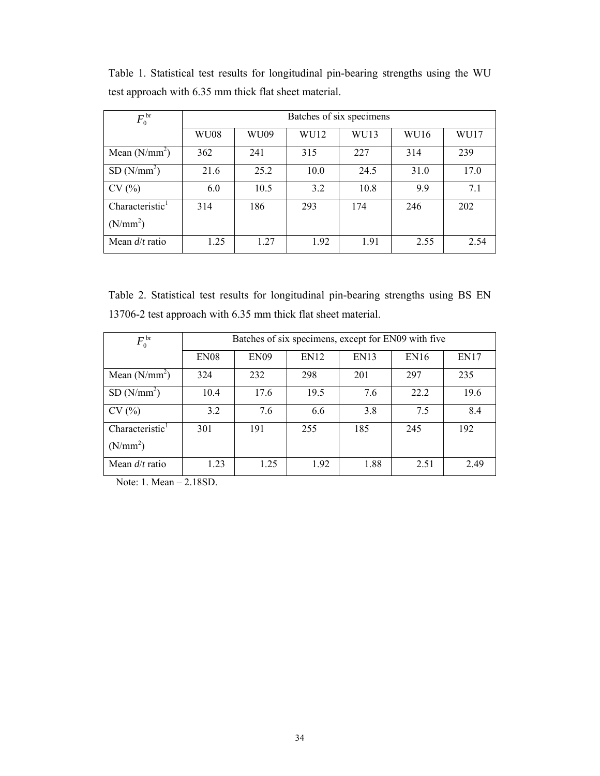| $F_0^{\text{ br}}$                                  | Batches of six specimens |      |      |      |      |      |
|-----------------------------------------------------|--------------------------|------|------|------|------|------|
|                                                     | <b>WU08</b>              | WU09 | WU12 | WU13 | WU16 | WU17 |
| Mean $(N/mm^2)$                                     | 362                      | 241  | 315  | 227  | 314  | 239  |
| $SD(N/mm^2)$                                        | 21.6                     | 25.2 | 10.0 | 24.5 | 31.0 | 17.0 |
| CV(%)                                               | 6.0                      | 10.5 | 3.2  | 10.8 | 9.9  | 7.1  |
| Characteristic <sup>1</sup><br>(N/mm <sup>2</sup> ) | 314                      | 186  | 293  | 174  | 246  | 202  |
| Mean $d/t$ ratio                                    | 1.25                     | 1.27 | 1.92 | 1.91 | 2.55 | 2.54 |

Table 1. Statistical test results for longitudinal pin-bearing strengths using the WU test approach with 6.35 mm thick flat sheet material.

Table 2. Statistical test results for longitudinal pin-bearing strengths using BS EN 13706-2 test approach with 6.35 mm thick flat sheet material.

| $F_0^{\text{ br}}$                                  | Batches of six specimens, except for EN09 with five |             |      |             |             |             |
|-----------------------------------------------------|-----------------------------------------------------|-------------|------|-------------|-------------|-------------|
|                                                     | EN <sub>08</sub>                                    | <b>EN09</b> | EN12 | <b>EN13</b> | <b>EN16</b> | <b>EN17</b> |
| Mean $(N/mm^2)$                                     | 324                                                 | 232         | 298  | 201         | 297         | 235         |
| $SD(N/mm^2)$                                        | 10.4                                                | 17.6        | 19.5 | 7.6         | 22.2        | 19.6        |
| CV(%)                                               | 3.2                                                 | 7.6         | 6.6  | 3.8         | 7.5         | 8.4         |
| Characteristic <sup>1</sup><br>(N/mm <sup>2</sup> ) | 301                                                 | 191         | 255  | 185         | 245         | 192         |
| Mean $d/t$ ratio                                    | 1.23                                                | 1.25        | 1.92 | 1.88        | 2.51        | 2.49        |

Note: 1. Mean – 2.18SD.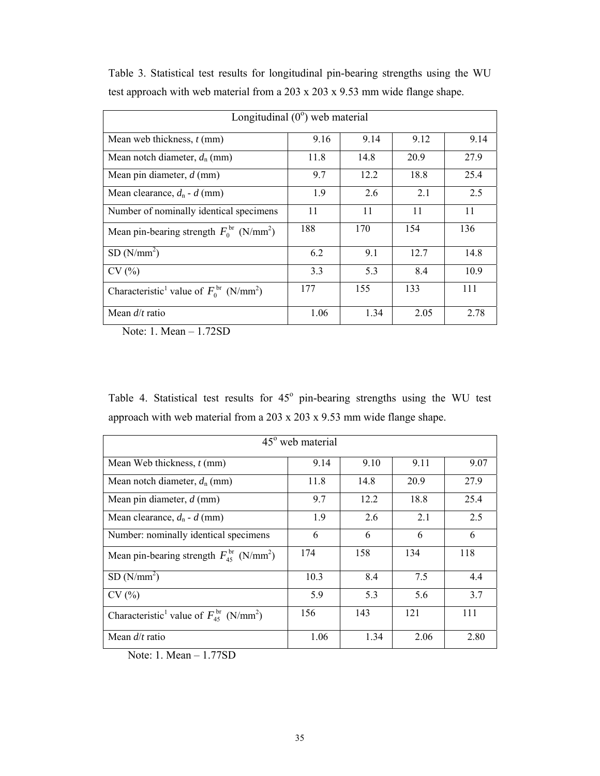| Longitudinal $(0^{\circ})$ web material                                     |      |      |      |      |  |
|-----------------------------------------------------------------------------|------|------|------|------|--|
| Mean web thickness, $t$ (mm)                                                | 9.16 | 9.14 | 9.12 | 9.14 |  |
| Mean notch diameter, $d_n$ (mm)                                             | 11.8 | 14.8 | 20.9 | 27.9 |  |
| Mean pin diameter, $d$ (mm)                                                 | 9.7  | 12.2 | 18.8 | 25.4 |  |
| Mean clearance, $d_n$ - $d$ (mm)                                            | 1.9  | 2.6  | 2.1  | 2.5  |  |
| Number of nominally identical specimens                                     | 11   | 11   | 11   | 11   |  |
| Mean pin-bearing strength $F_0^{\text{br}}$ (N/mm <sup>2</sup> )            | 188  | 170  | 154  | 136  |  |
| SD(N/mm <sup>2</sup> )                                                      | 6.2  | 9.1  | 12.7 | 14.8 |  |
| CV(%)                                                                       | 3.3  | 5.3  | 8.4  | 10.9 |  |
| Characteristic <sup>1</sup> value of $F_0^{\text{br}}$ (N/mm <sup>2</sup> ) | 177  | 155  | 133  | 111  |  |
| Mean $d/t$ ratio                                                            | 1.06 | 1.34 | 2.05 | 2.78 |  |

Table 3. Statistical test results for longitudinal pin-bearing strengths using the WU test approach with web material from a 203 x 203 x 9.53 mm wide flange shape.

Note: 1. Mean – 1.72SD

Table 4. Statistical test results for  $45^\circ$  pin-bearing strengths using the WU test approach with web material from a 203 x 203 x 9.53 mm wide flange shape.

| $45^{\circ}$ web material                                               |      |      |      |      |  |
|-------------------------------------------------------------------------|------|------|------|------|--|
| Mean Web thickness, $t$ (mm)                                            | 9.14 | 9.10 | 9.11 | 9.07 |  |
| Mean notch diameter, $d_n$ (mm)                                         | 11.8 | 14.8 | 20.9 | 27.9 |  |
| Mean pin diameter, $d$ (mm)                                             | 9.7  | 12.2 | 18.8 | 25.4 |  |
| Mean clearance, $d_n$ - $d$ (mm)                                        | 1.9  | 2.6  | 2.1  | 2.5  |  |
| Number: nominally identical specimens                                   | 6    | 6    | 6    | 6    |  |
| Mean pin-bearing strength $F_{45}^{br}$ (N/mm <sup>2</sup> )            | 174  | 158  | 134  | 118  |  |
| SD(N/mm <sup>2</sup> )                                                  | 10.3 | 8.4  | 7.5  | 4.4  |  |
| CV(%)                                                                   | 5.9  | 5.3  | 5.6  | 3.7  |  |
| Characteristic <sup>1</sup> value of $F_{45}^{br}$ (N/mm <sup>2</sup> ) | 156  | 143  | 121  | 111  |  |
| Mean $d/t$ ratio                                                        | 1.06 | 1.34 | 2.06 | 2.80 |  |

Note: 1. Mean – 1.77SD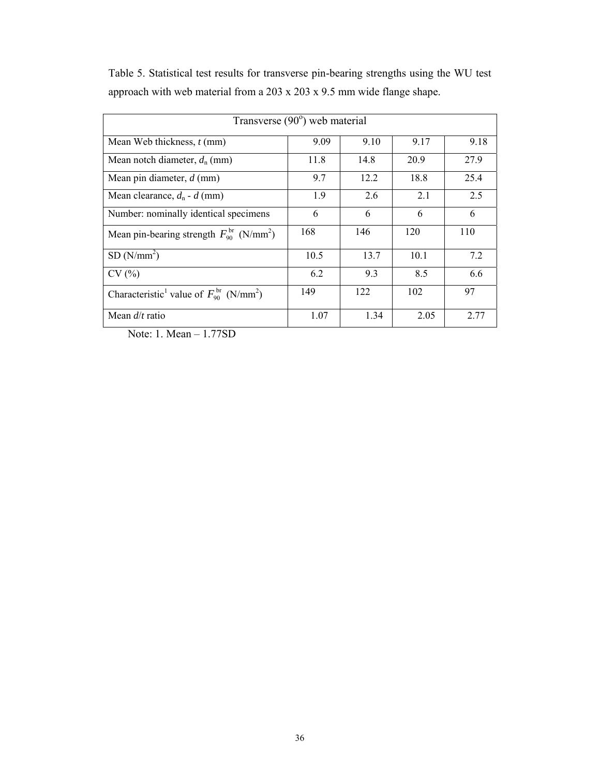| Transverse $(90^{\circ})$ web material                                  |      |      |      |      |  |
|-------------------------------------------------------------------------|------|------|------|------|--|
| Mean Web thickness, $t$ (mm)                                            | 9.09 | 9.10 | 9.17 | 9.18 |  |
| Mean notch diameter, $d_n$ (mm)                                         | 11.8 | 14.8 | 20.9 | 27.9 |  |
| Mean pin diameter, $d$ (mm)                                             | 9.7  | 12.2 | 18.8 | 25.4 |  |
| Mean clearance, $d_n$ - $d$ (mm)                                        | 1.9  | 2.6  | 2.1  | 2.5  |  |
| Number: nominally identical specimens                                   | 6    | 6    | 6    | 6    |  |
| Mean pin-bearing strength $F_{90}^{br}$ (N/mm <sup>2</sup> )            | 168  | 146  | 120  | 110  |  |
| SD(N/mm <sup>2</sup> )                                                  | 10.5 | 13.7 | 10.1 | 7.2  |  |
| CV(%)                                                                   | 6.2  | 9.3  | 8.5  | 6.6  |  |
| Characteristic <sup>1</sup> value of $F_{90}^{br}$ (N/mm <sup>2</sup> ) | 149  | 122  | 102  | 97   |  |
| Mean $d/t$ ratio                                                        | 1.07 | 1.34 | 2.05 | 2.77 |  |

Table 5. Statistical test results for transverse pin-bearing strengths using the WU test approach with web material from a 203 x 203 x 9.5 mm wide flange shape.

Note: 1. Mean – 1.77SD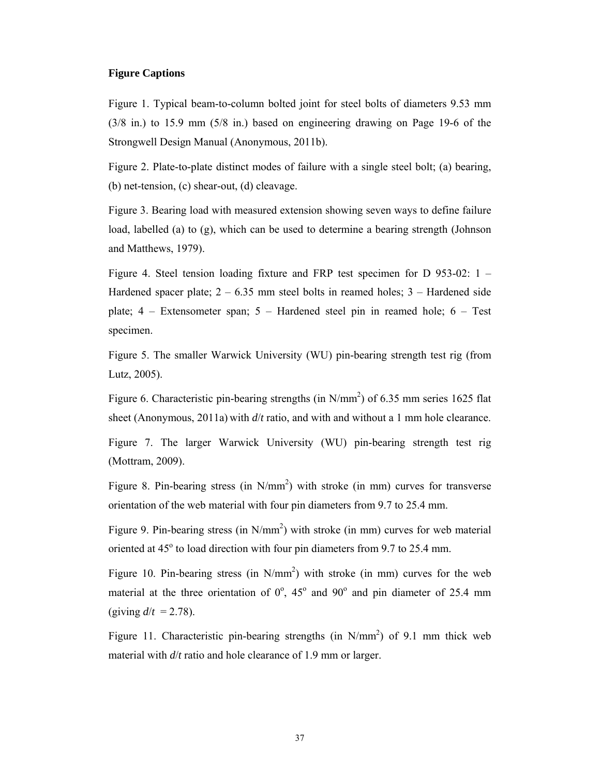#### **Figure Captions**

Figure 1. Typical beam-to-column bolted joint for steel bolts of diameters 9.53 mm (3/8 in.) to 15.9 mm (5/8 in.) based on engineering drawing on Page 19-6 of the Strongwell Design Manual (Anonymous, 2011b).

Figure 2. Plate-to-plate distinct modes of failure with a single steel bolt; (a) bearing, (b) net-tension, (c) shear-out, (d) cleavage.

Figure 3. Bearing load with measured extension showing seven ways to define failure load, labelled (a) to (g), which can be used to determine a bearing strength (Johnson and Matthews, 1979).

Figure 4. Steel tension loading fixture and FRP test specimen for D 953-02: 1 – Hardened spacer plate;  $2 - 6.35$  mm steel bolts in reamed holes;  $3 -$  Hardened side plate; 4 – Extensometer span; 5 – Hardened steel pin in reamed hole; 6 – Test specimen.

Figure 5. The smaller Warwick University (WU) pin-bearing strength test rig (from Lutz, 2005).

Figure 6. Characteristic pin-bearing strengths (in  $N/mm^2$ ) of 6.35 mm series 1625 flat sheet (Anonymous, 2011a) with *d*/*t* ratio, and with and without a 1 mm hole clearance.

Figure 7. The larger Warwick University (WU) pin-bearing strength test rig (Mottram, 2009).

Figure 8. Pin-bearing stress (in  $N/mm^2$ ) with stroke (in mm) curves for transverse orientation of the web material with four pin diameters from 9.7 to 25.4 mm.

Figure 9. Pin-bearing stress (in  $N/mm^2$ ) with stroke (in mm) curves for web material oriented at  $45^{\circ}$  to load direction with four pin diameters from 9.7 to 25.4 mm.

Figure 10. Pin-bearing stress (in  $N/mm^2$ ) with stroke (in mm) curves for the web material at the three orientation of  $0^\circ$ ,  $45^\circ$  and  $90^\circ$  and pin diameter of 25.4 mm (giving  $d/t = 2.78$ ).

Figure 11. Characteristic pin-bearing strengths (in  $N/mm<sup>2</sup>$ ) of 9.1 mm thick web material with *d*/*t* ratio and hole clearance of 1.9 mm or larger.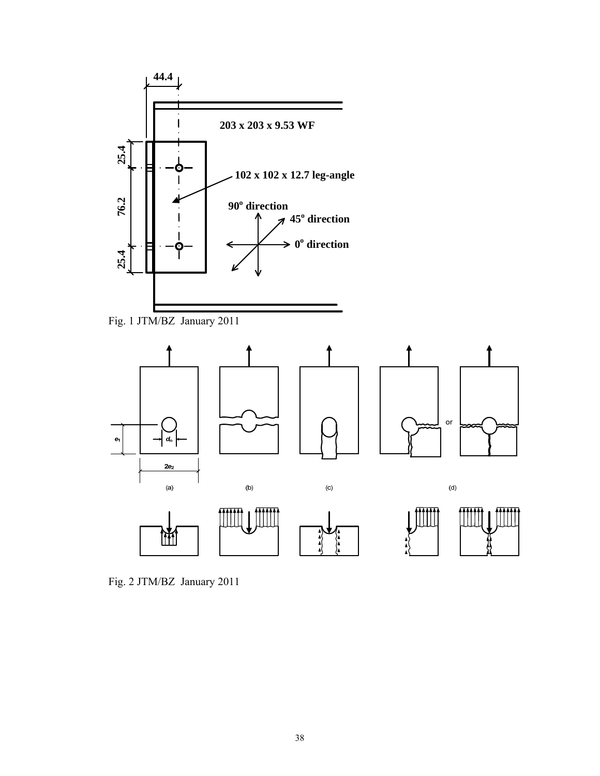

Fig. 1 JTM/BZ January 2011



Fig. 2 JTM/BZ January 2011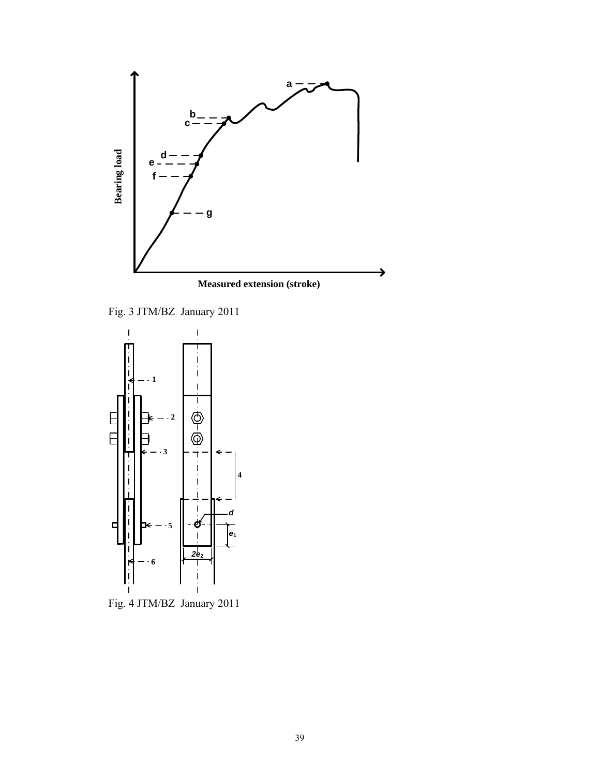

Fig. 3 JTM/BZ January 2011



Fig. 4 JTM/BZ January 2011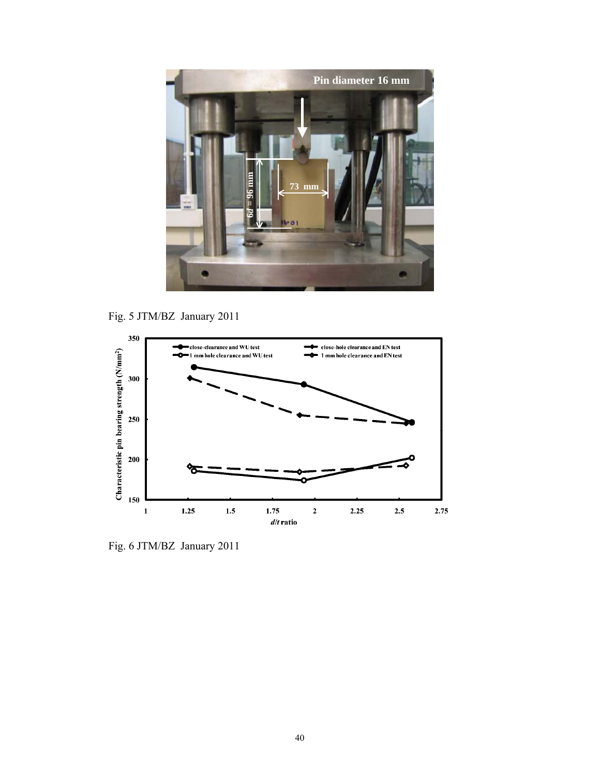

Fig. 5 JTM/BZ January 2011



Fig. 6 JTM/BZ January 2011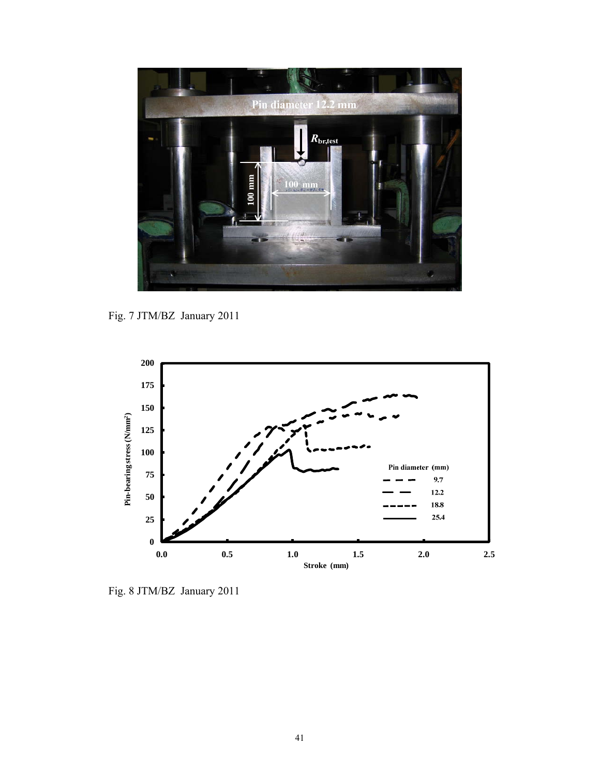

Fig. 7 JTM/BZ January 2011



Fig. 8 JTM/BZ January 2011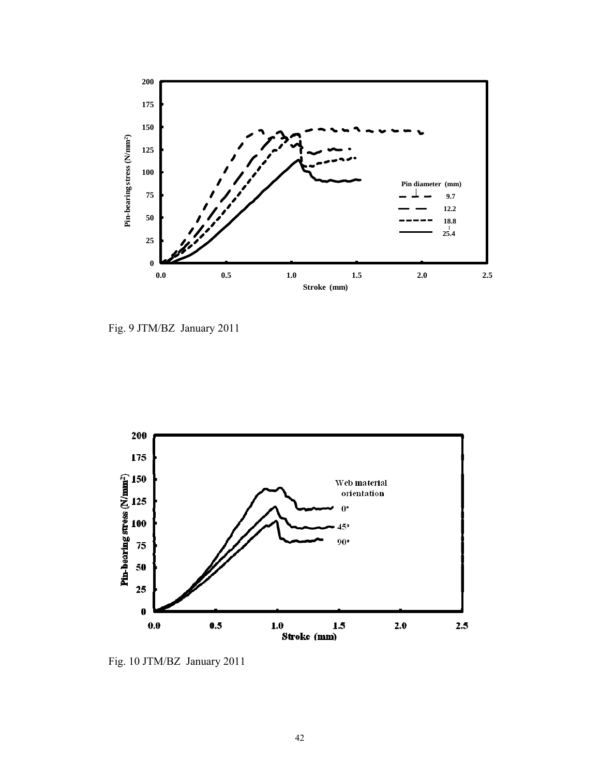

Fig. 9 JTM/BZ January 2011



Fig. 10 JTM/BZ January 2011